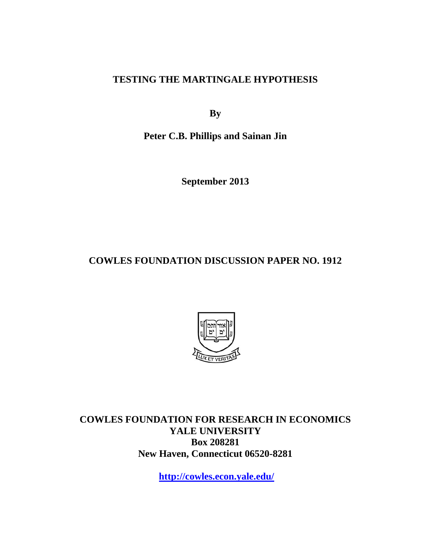**TESTING THE MARTINGALE HYPOTHESIS** 

**By** 

**Peter C.B. Phillips and Sainan Jin** 

**September 2013** 

**COWLES FOUNDATION DISCUSSION PAPER NO. 1912** 



**COWLES FOUNDATION FOR RESEARCH IN ECONOMICS YALE UNIVERSITY Box 208281 New Haven, Connecticut 06520-8281** 

**http://cowles.econ.yale.edu/**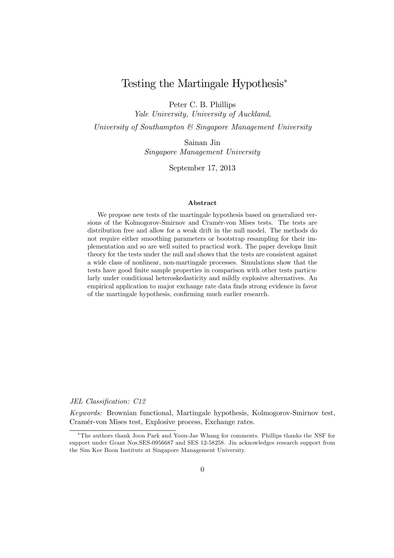# Testing the Martingale Hypothesis<sup>∗</sup>

Peter C. B. Phillips

*Yale University, University of Auckland,*

*University of Southampton & Singapore Management University*

Sainan Jin *Singapore Management University*

September 17, 2013

#### Abstract

We propose new tests of the martingale hypothesis based on generalized versions of the Kolmogorov-Smirnov and Cramér-von Mises tests. The tests are distribution free and allow for a weak drift in the null model. The methods do not require either smoothing parameters or bootstrap resampling for their implementation and so are well suited to practical work. The paper develops limit theory for the tests under the null and shows that the tests are consistent against a wide class of nonlinear, non-martingale processes. Simulations show that the tests have good finite sample properties in comparison with other tests particularly under conditional heteroskedasticity and mildly explosive alternatives. An empirical application to major exchange rate data finds strong evidence in favor of the martingale hypothesis, confirming much earlier research.

*JEL Classification: C12*

*Keywords:* Brownian functional, Martingale hypothesis, Kolmogorov-Smirnov test, Cramér-von Mises test, Explosive process, Exchange rates.

<sup>∗</sup>The authors thank Joon Park and Yoon-Jae Whang for comments. Phillips thanks the NSF for support under Grant Nos.SES-0956687 and SES 12-58258. Jin acknowledges research support from the Sim Kee Boon Institute at Singapore Management University.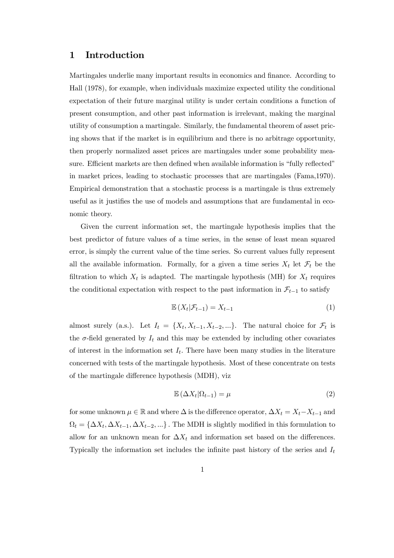### 1 Introduction

Martingales underlie many important results in economics and finance. According to Hall (1978), for example, when individuals maximize expected utility the conditional expectation of their future marginal utility is under certain conditions a function of present consumption, and other past information is irrelevant, making the marginal utility of consumption a martingale. Similarly, the fundamental theorem of asset pricing shows that if the market is in equilibrium and there is no arbitrage opportunity, then properly normalized asset prices are martingales under some probability measure. Efficient markets are then defined when available information is "fully reflected" in market prices, leading to stochastic processes that are martingales (Fama,1970). Empirical demonstration that a stochastic process is a martingale is thus extremely useful as it justifies the use of models and assumptions that are fundamental in economic theory.

Given the current information set, the martingale hypothesis implies that the best predictor of future values of a time series, in the sense of least mean squared error, is simply the current value of the time series. So current values fully represent all the available information. Formally, for a given a time series  $X_t$  let  $\mathcal{F}_t$  be the filtration to which  $X_t$  is adapted. The martingale hypothesis (MH) for  $X_t$  requires the conditional expectation with respect to the past information in  $\mathcal{F}_{t-1}$  to satisfy

$$
\mathbb{E}\left(X_t|\mathcal{F}_{t-1}\right) = X_{t-1} \tag{1}
$$

almost surely (a.s.). Let  $I_t = \{X_t, X_{t-1}, X_{t-2}, ...\}$ . The natural choice for  $\mathcal{F}_t$  is the  $\sigma$ -field generated by  $I_t$  and this may be extended by including other covariates of interest in the information set  $I_t$ . There have been many studies in the literature concerned with tests of the martingale hypothesis. Most of these concentrate on tests of the martingale difference hypothesis (MDH), viz

$$
\mathbb{E}\left(\Delta X_t|\Omega_{t-1}\right) = \mu\tag{2}
$$

for some unknown  $\mu \in \mathbb{R}$  and where  $\Delta$  is the difference operator,  $\Delta X_t = X_t - X_{t-1}$  and  $\Omega_t = {\Delta X_t, \Delta X_{t-1}, \Delta X_{t-2}, ...}$ . The MDH is slightly modified in this formulation to allow for an unknown mean for  $\Delta X_t$  and information set based on the differences. Typically the information set includes the infinite past history of the series and  $I_t$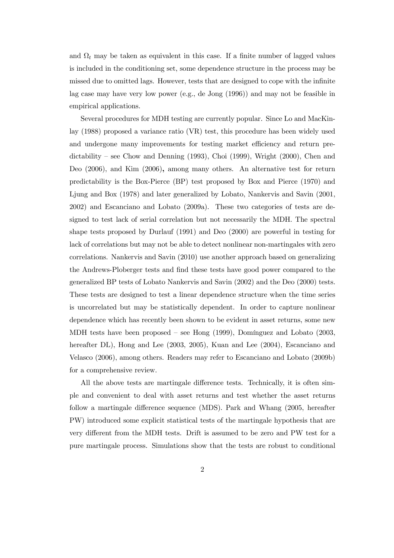and  $\Omega_t$  may be taken as equivalent in this case. If a finite number of lagged values is included in the conditioning set, some dependence structure in the process may be missed due to omitted lags. However, tests that are designed to cope with the infinite lag case may have very low power (e.g., de Jong (1996)) and may not be feasible in empirical applications.

Several procedures for MDH testing are currently popular. Since Lo and MacKinlay (1988) proposed a variance ratio (VR) test, this procedure has been widely used and undergone many improvements for testing market efficiency and return predictability – see Chow and Denning  $(1993)$ , Choi  $(1999)$ , Wright  $(2000)$ , Chen and Deo (2006), and Kim (2006), among many others. An alternative test for return predictability is the Box-Pierce (BP) test proposed by Box and Pierce (1970) and Ljung and Box (1978) and later generalized by Lobato, Nankervis and Savin (2001, 2002) and Escanciano and Lobato (2009a). These two categories of tests are designed to test lack of serial correlation but not necessarily the MDH. The spectral shape tests proposed by Durlauf (1991) and Deo (2000) are powerful in testing for lack of correlations but may not be able to detect nonlinear non-martingales with zero correlations. Nankervis and Savin (2010) use another approach based on generalizing the Andrews-Ploberger tests and find these tests have good power compared to the generalized BP tests of Lobato Nankervis and Savin (2002) and the Deo (2000) tests. These tests are designed to test a linear dependence structure when the time series is uncorrelated but may be statistically dependent. In order to capture nonlinear dependence which has recently been shown to be evident in asset returns, some new MDH tests have been proposed — see Hong (1999), Domínguez and Lobato (2003, hereafter DL), Hong and Lee (2003, 2005), Kuan and Lee (2004), Escanciano and Velasco (2006), among others. Readers may refer to Escanciano and Lobato (2009b) for a comprehensive review.

All the above tests are martingale difference tests. Technically, it is often simple and convenient to deal with asset returns and test whether the asset returns follow a martingale difference sequence (MDS). Park and Whang (2005, hereafter PW) introduced some explicit statistical tests of the martingale hypothesis that are very different from the MDH tests. Drift is assumed to be zero and PW test for a pure martingale process. Simulations show that the tests are robust to conditional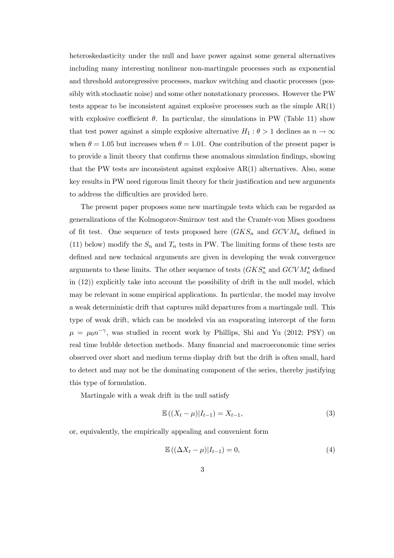heteroskedasticity under the null and have power against some general alternatives including many interesting nonlinear non-martingale processes such as exponential and threshold autoregressive processes, markov switching and chaotic processes (possibly with stochastic noise) and some other nonstationary processes. However the PW tests appear to be inconsistent against explosive processes such as the simple AR(1) with explosive coefficient  $\theta$ . In particular, the simulations in PW (Table 11) show that test power against a simple explosive alternative  $H_1$  :  $\theta > 1$  declines as  $n \to \infty$ when  $\theta = 1.05$  but increases when  $\theta = 1.01$ . One contribution of the present paper is to provide a limit theory that confirms these anomalous simulation findings, showing that the PW tests are inconsistent against explosive AR(1) alternatives. Also, some key results in PW need rigorous limit theory for their justification and new arguments to address the difficulties are provided here.

The present paper proposes some new martingale tests which can be regarded as generalizations of the Kolmogorov-Smirnov test and the Cramér-von Mises goodness of fit test. One sequence of tests proposed here  $(GKS_n$  and  $GCVM_n$  defined in (11) below) modify the  $S_n$  and  $T_n$  tests in PW. The limiting forms of these tests are defined and new technical arguments are given in developing the weak convergence arguments to these limits. The other sequence of tests  $(GKS^*_n$  and  $GCVM^*_n$  defined in (12)) explicitly take into account the possibility of drift in the null model, which may be relevant in some empirical applications. In particular, the model may involve a weak deterministic drift that captures mild departures from a martingale null. This type of weak drift, which can be modeled via an evaporating intercept of the form  $\mu = \mu_0 n^{-\gamma}$ , was studied in recent work by Phillips, Shi and Yu (2012; PSY) on real time bubble detection methods. Many financial and macroeconomic time series observed over short and medium terms display drift but the drift is often small, hard to detect and may not be the dominating component of the series, thereby justifying this type of formulation.

Martingale with a weak drift in the null satisfy

$$
\mathbb{E}\left(\left(X_t - \mu\right)|I_{t-1}\right) = X_{t-1},\tag{3}
$$

or, equivalently, the empirically appealing and convenient form

$$
\mathbb{E}\left((\Delta X_t - \mu)|I_{t-1}\right) = 0,\tag{4}
$$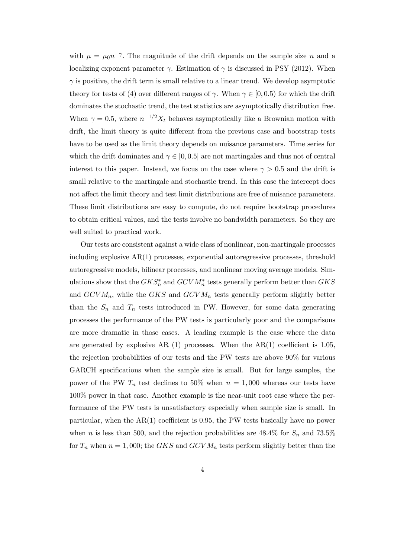with  $\mu = \mu_0 n^{-\gamma}$ . The magnitude of the drift depends on the sample size n and a localizing exponent parameter  $\gamma$ . Estimation of  $\gamma$  is discussed in PSY (2012). When  $\gamma$  is positive, the drift term is small relative to a linear trend. We develop asymptotic theory for tests of (4) over different ranges of  $\gamma$ . When  $\gamma \in [0, 0.5)$  for which the drift dominates the stochastic trend, the test statistics are asymptotically distribution free. When  $\gamma = 0.5$ , where  $n^{-1/2}X_t$  behaves asymptotically like a Brownian motion with drift, the limit theory is quite different from the previous case and bootstrap tests have to be used as the limit theory depends on nuisance parameters. Time series for which the drift dominates and  $\gamma \in [0, 0.5]$  are not martingales and thus not of central interest to this paper. Instead, we focus on the case where  $\gamma > 0.5$  and the drift is small relative to the martingale and stochastic trend. In this case the intercept does not affect the limit theory and test limit distributions are free of nuisance parameters. These limit distributions are easy to compute, do not require bootstrap procedures to obtain critical values, and the tests involve no bandwidth parameters. So they are well suited to practical work.

Our tests are consistent against a wide class of nonlinear, non-martingale processes including explosive AR(1) processes, exponential autoregressive processes, threshold autoregressive models, bilinear processes, and nonlinear moving average models. Simulations show that the  $GKS_n^*$  and  $GCVM_n^*$  tests generally perform better than  $GKS$ and  $GCVM_n$ , while the  $GKS$  and  $GCVM_n$  tests generally perform slightly better than the  $S_n$  and  $T_n$  tests introduced in PW. However, for some data generating processes the performance of the PW tests is particularly poor and the comparisons are more dramatic in those cases. A leading example is the case where the data are generated by explosive AR  $(1)$  processes. When the AR $(1)$  coefficient is 1.05, the rejection probabilities of our tests and the PW tests are above 90% for various GARCH specifications when the sample size is small. But for large samples, the power of the PW  $T_n$  test declines to 50% when  $n = 1,000$  whereas our tests have 100% power in that case. Another example is the near-unit root case where the performance of the PW tests is unsatisfactory especially when sample size is small. In particular, when the AR(1) coefficient is 0.95, the PW tests basically have no power when n is less than 500, and the rejection probabilities are  $48.4\%$  for  $S_n$  and  $73.5\%$ for  $T_n$  when  $n = 1,000$ ; the GKS and GCVM<sub>n</sub> tests perform slightly better than the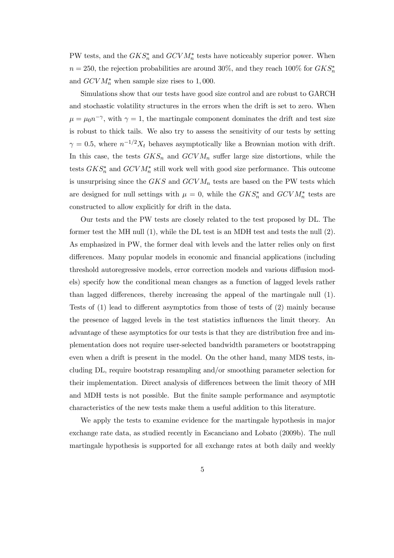PW tests, and the  $GKS_n^*$  and  $GCVM_n^*$  tests have noticeably superior power. When  $n = 250$ , the rejection probabilities are around 30%, and they reach 100% for  $GKS^*_{n}$ and  $GCVM_n^*$  when sample size rises to 1,000.

Simulations show that our tests have good size control and are robust to GARCH and stochastic volatility structures in the errors when the drift is set to zero. When  $\mu = \mu_0 n^{-\gamma}$ , with  $\gamma = 1$ , the martingale component dominates the drift and test size is robust to thick tails. We also try to assess the sensitivity of our tests by setting  $\gamma = 0.5$ , where  $n^{-1/2}X_t$  behaves asymptotically like a Brownian motion with drift. In this case, the tests  $GKS_n$  and  $GCVM_n$  suffer large size distortions, while the tests  $GKS_n^*$  and  $GCVM_n^*$  still work well with good size performance. This outcome is unsurprising since the  $GKS$  and  $GCVM_n$  tests are based on the PW tests which are designed for null settings with  $\mu = 0$ , while the  $GKS_n^*$  and  $GCVM_n^*$  tests are constructed to allow explicitly for drift in the data.

Our tests and the PW tests are closely related to the test proposed by DL. The former test the MH null (1), while the DL test is an MDH test and tests the null (2). As emphasized in PW, the former deal with levels and the latter relies only on first differences. Many popular models in economic and financial applications (including threshold autoregressive models, error correction models and various diffusion models) specify how the conditional mean changes as a function of lagged levels rather than lagged differences, thereby increasing the appeal of the martingale null (1). Tests of (1) lead to different asymptotics from those of tests of (2) mainly because the presence of lagged levels in the test statistics influences the limit theory. An advantage of these asymptotics for our tests is that they are distribution free and implementation does not require user-selected bandwidth parameters or bootstrapping even when a drift is present in the model. On the other hand, many MDS tests, including DL, require bootstrap resampling and/or smoothing parameter selection for their implementation. Direct analysis of differences between the limit theory of MH and MDH tests is not possible. But the finite sample performance and asymptotic characteristics of the new tests make them a useful addition to this literature.

We apply the tests to examine evidence for the martingale hypothesis in major exchange rate data, as studied recently in Escanciano and Lobato (2009b). The null martingale hypothesis is supported for all exchange rates at both daily and weekly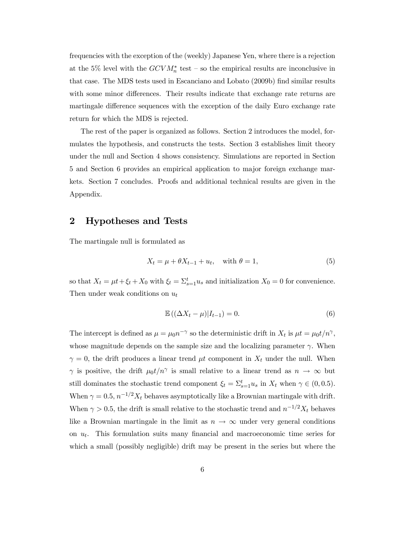frequencies with the exception of the (weekly) Japanese Yen, where there is a rejection at the 5% level with the  $GCVM_n^*$  test – so the empirical results are inconclusive in that case. The MDS tests used in Escanciano and Lobato (2009b) find similar results with some minor differences. Their results indicate that exchange rate returns are martingale difference sequences with the exception of the daily Euro exchange rate return for which the MDS is rejected.

The rest of the paper is organized as follows. Section 2 introduces the model, formulates the hypothesis, and constructs the tests. Section 3 establishes limit theory under the null and Section 4 shows consistency. Simulations are reported in Section 5 and Section 6 provides an empirical application to major foreign exchange markets. Section 7 concludes. Proofs and additional technical results are given in the Appendix.

### 2 Hypotheses and Tests

The martingale null is formulated as

$$
X_t = \mu + \theta X_{t-1} + u_t, \quad \text{with } \theta = 1,
$$
\n<sup>(5)</sup>

so that  $X_t = \mu t + \xi_t + X_0$  with  $\xi_t = \sum_{s=1}^t u_s$  and initialization  $X_0 = 0$  for convenience. Then under weak conditions on  $u_t$ 

$$
\mathbb{E}\left(\left(\Delta X_t - \mu\right)|I_{t-1}\right) = 0.\tag{6}
$$

The intercept is defined as  $\mu = \mu_0 n^{-\gamma}$  so the deterministic drift in  $X_t$  is  $\mu t = \mu_0 t/n^{\gamma}$ , whose magnitude depends on the sample size and the localizing parameter  $\gamma$ . When  $\gamma = 0$ , the drift produces a linear trend  $\mu t$  component in  $X_t$  under the null. When  $\gamma$  is positive, the drift  $\mu_0 t/n^{\gamma}$  is small relative to a linear trend as  $n \to \infty$  but still dominates the stochastic trend component  $\xi_t = \sum_{s=1}^t u_s$  in  $X_t$  when  $\gamma \in (0, 0.5)$ . When  $\gamma = 0.5$ ,  $n^{-1/2}X_t$  behaves asymptotically like a Brownian martingale with drift. When  $\gamma > 0.5$ , the drift is small relative to the stochastic trend and  $n^{-1/2}X_t$  behaves like a Brownian martingale in the limit as  $n \to \infty$  under very general conditions on  $u_t$ . This formulation suits many financial and macroeconomic time series for which a small (possibly negligible) drift may be present in the series but where the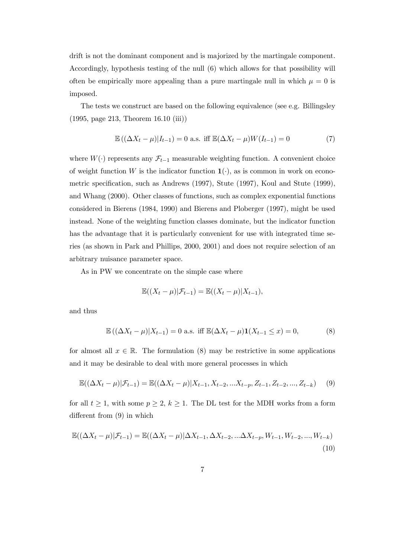drift is not the dominant component and is majorized by the martingale component. Accordingly, hypothesis testing of the null (6) which allows for that possibility will often be empirically more appealing than a pure martingale null in which  $\mu = 0$  is imposed.

The tests we construct are based on the following equivalence (see e.g. Billingsley (1995, page 213, Theorem 16.10 (iii))

$$
\mathbb{E}((\Delta X_t - \mu)|I_{t-1}) = 0 \text{ a.s. iff } \mathbb{E}(\Delta X_t - \mu)W(I_{t-1}) = 0 \tag{7}
$$

where  $W(\cdot)$  represents any  $\mathcal{F}_{t-1}$  measurable weighting function. A convenient choice of weight function W is the indicator function  $\mathbf{1}(\cdot)$ , as is common in work on econometric specification, such as Andrews (1997), Stute (1997), Koul and Stute (1999), and Whang (2000). Other classes of functions, such as complex exponential functions considered in Bierens (1984, 1990) and Bierens and Ploberger (1997), might be used instead. None of the weighting function classes dominate, but the indicator function has the advantage that it is particularly convenient for use with integrated time series (as shown in Park and Phillips, 2000, 2001) and does not require selection of an arbitrary nuisance parameter space.

As in PW we concentrate on the simple case where

$$
\mathbb{E}((X_t-\mu)|\mathcal{F}_{t-1})=\mathbb{E}((X_t-\mu)|X_{t-1}),
$$

and thus

$$
\mathbb{E}((\Delta X_t - \mu)|X_{t-1}) = 0 \text{ a.s. iff } \mathbb{E}(\Delta X_t - \mu)\mathbf{1}(X_{t-1} \le x) = 0,
$$
\n(8)

for almost all  $x \in \mathbb{R}$ . The formulation (8) may be restrictive in some applications and it may be desirable to deal with more general processes in which

$$
\mathbb{E}((\Delta X_t - \mu)|\mathcal{F}_{t-1}) = \mathbb{E}((\Delta X_t - \mu)|X_{t-1}, X_{t-2}, \dots, X_{t-p}, Z_{t-1}, Z_{t-2}, \dots, Z_{t-k}) \tag{9}
$$

for all  $t \geq 1$ , with some  $p \geq 2$ ,  $k \geq 1$ . The DL test for the MDH works from a form different from (9) in which

$$
\mathbb{E}((\Delta X_t - \mu)|\mathcal{F}_{t-1}) = \mathbb{E}((\Delta X_t - \mu)|\Delta X_{t-1}, \Delta X_{t-2}, ... \Delta X_{t-p}, W_{t-1}, W_{t-2}, ..., W_{t-k})
$$
\n(10)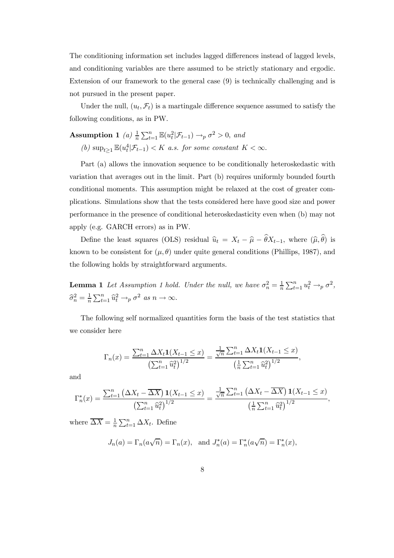The conditioning information set includes lagged differences instead of lagged levels, and conditioning variables are there assumed to be strictly stationary and ergodic. Extension of our framework to the general case (9) is technically challenging and is not pursued in the present paper.

Under the null,  $(u_t, \mathcal{F}_t)$  is a martingale difference sequence assumed to satisfy the following conditions, as in PW.

Assumption 1 (a) 
$$
\frac{1}{n} \sum_{t=1}^{n} \mathbb{E}(u_t^2 | \mathcal{F}_{t-1}) \to_p \sigma^2 > 0
$$
, and  
\n(b)  $\sup_{t\geq 1} \mathbb{E}(u_t^4 | \mathcal{F}_{t-1}) < K$  a.s. for some constant  $K < \infty$ .

Part (a) allows the innovation sequence to be conditionally heteroskedastic with variation that averages out in the limit. Part (b) requires uniformly bounded fourth conditional moments. This assumption might be relaxed at the cost of greater complications. Simulations show that the tests considered here have good size and power performance in the presence of conditional heteroskedasticity even when (b) may not apply (e.g. GARCH errors) as in PW.

Define the least squares (OLS) residual  $\hat{u}_t = X_t - \hat{\mu} - \theta X_{t-1}$ , where  $(\hat{\mu}, \theta)$  is known to be consistent for  $(\mu, \theta)$  under quite general conditions (Phillips, 1987), and the following holds by straightforward arguments.

**Lemma 1** Let Assumption 1 hold. Under the null, we have  $\sigma_n^2 = \frac{1}{n}$  $\frac{1}{n} \sum_{t=1}^n u_t^2 \rightarrow_p \sigma^2$ ,  $\widehat{\sigma}_n^2 = \frac{1}{n}$  $\frac{1}{n}\sum_{t=1}^{n} \widehat{u}_t^2 \rightarrow_p \sigma^2 \text{ as } n \rightarrow \infty.$ 

The following self normalized quantities form the basis of the test statistics that we consider here

$$
\Gamma_n(x) = \frac{\sum_{t=1}^n \Delta X_t \mathbf{1}(X_{t-1} \le x)}{\left(\sum_{t=1}^n \widehat{u}_t^2\right)^{1/2}} = \frac{\frac{1}{\sqrt{n}} \sum_{t=1}^n \Delta X_t \mathbf{1}(X_{t-1} \le x)}{\left(\frac{1}{n} \sum_{t=1}^n \widehat{u}_t^2\right)^{1/2}},
$$

and

$$
\Gamma_n^*(x) = \frac{\sum_{t=1}^n (\Delta X_t - \overline{\Delta X}) \mathbf{1}(X_{t-1} \le x)}{\left(\sum_{t=1}^n \widehat{u}_t^2\right)^{1/2}} = \frac{\frac{1}{\sqrt{n}} \sum_{t=1}^n (\Delta X_t - \overline{\Delta X}) \mathbf{1}(X_{t-1} \le x)}{\left(\frac{1}{n} \sum_{t=1}^n \widehat{u}_t^2\right)^{1/2}},
$$

where  $\overline{\Delta X} = \frac{1}{n}$  $\frac{1}{n} \sum_{t=1}^{n} \Delta X_t$ . Define

$$
J_n(a) = \Gamma_n(a\sqrt{n}) = \Gamma_n(x)
$$
, and  $J_n^*(a) = \Gamma_n^*(a\sqrt{n}) = \Gamma_n^*(x)$ ,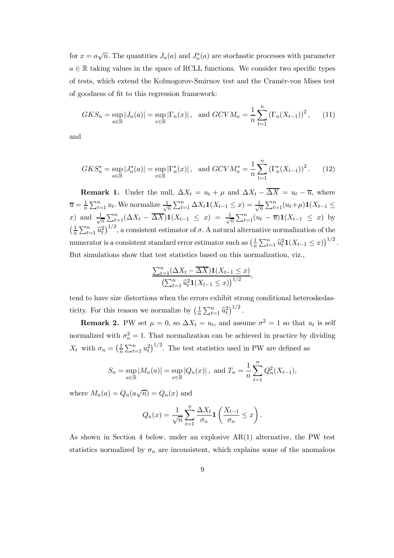for  $x = a\sqrt{n}$ . The quantities  $J_n(a)$  and  $J_n^*(a)$  are stochastic processes with parameter  $a \in \mathbb{R}$  taking values in the space of RCLL functions. We consider two specific types of tests, which extend the Kolmogorov-Smirnov test and the Cramér-von Mises test of goodness of fit to this regression framework:

$$
GKS_n = \sup_{a \in \mathbb{R}} |J_n(a)| = \sup_{x \in \mathbb{R}} |\Gamma_n(x)| \, , \text{ and } GCVM_n = \frac{1}{n} \sum_{t=1}^n (\Gamma_n(X_{t-1}))^2 \, , \qquad (11)
$$

and

$$
GKS_n^* = \sup_{a \in \mathbb{R}} |J_n^*(a)| = \sup_{x \in \mathbb{R}} |\Gamma_n^*(x)| \,, \text{ and } GCVM_n^* = \frac{1}{n} \sum_{t=1}^n (\Gamma_n^*(X_{t-1}))^2 \,. \tag{12}
$$

**Remark 1.** Under the null,  $\Delta X_t = u_t + \mu$  and  $\Delta X_t - \overline{\Delta X} = u_t - \overline{u}$ , where  $\overline{u}=\frac{1}{n}$  $\frac{1}{n}\sum_{t=1}^{n} u_t$ . We normalize  $\frac{1}{\sqrt{2}}$  $\frac{1}{n} \sum_{t=1}^{n} \Delta X_t \mathbf{1}(X_{t-1} \leq x) = \frac{1}{\sqrt{n}}$  $\frac{1}{n}\sum_{t=1}^{n}(u_t+\mu)\mathbf{1}(X_{t-1}\leq$ x) and  $\frac{1}{\sqrt{2}}$  $\frac{1}{n} \sum_{t=1}^{n} (\Delta X_t - \overline{\Delta X}) \mathbf{1}(X_{t-1} \leq x) = \frac{1}{\sqrt{x}}$  $\frac{1}{\overline{n}}\sum_{t=1}^n (u_t - \overline{u})\mathbf{1}(X_{t-1} \leq x)$  by  $(1)$  $\frac{1}{n}\sum_{t=1}^n \hat{u}_t^2$ , a consistent estimator of  $\sigma$ . A natural alternative normalization of the numerator is a consistent standard error estimator such as  $\left(\frac{1}{n}\right)$  $\frac{1}{n}\sum_{t=1}^n \widehat{u}_t^2 \mathbf{1}(X_{t-1} \leq x)\big)^{1/2}$ . But simulations show that test statistics based on this normalization, viz.,

$$
\frac{\sum_{t=1}^{n} (\Delta X_t - \overline{\Delta X}) \mathbf{1}(X_{t-1} \leq x)}{\left(\sum_{t=1}^{n} \widehat{u}_t^2 \mathbf{1}(X_{t-1} \leq x)\right)^{1/2}},
$$

tend to have size distortions when the errors exhibit strong conditional heteroskedasticity. For this reason we normalize by  $\left(\frac{1}{n}\right)$  $\frac{1}{n}\sum_{t=1}^n \hat{u}_t^2\big)^{1/2}$ .

**Remark 2.** PW set  $\mu = 0$ , so  $\Delta X_t = u_t$ , and assume  $\sigma^2 = 1$  so that  $u_t$  is self normalized with  $\sigma_n^2 = 1$ . That normalization can be achieved in practice by dividing  $X_t$  with  $\sigma_n = \left(\frac{1}{n}\right)$  $\frac{1}{n}\sum_{t=1}^{n}u_t^2$ <sup>1/2</sup>. The test statistics used in PW are defined as

$$
S_n = \sup_{a \in \mathbb{R}} |M_n(a)| = \sup_{x \in \mathbb{R}} |Q_n(x)| \, , \text{ and } T_n = \frac{1}{n} \sum_{t=1}^n Q_n^2(X_{t-1}),
$$

where  $M_n(a) = Q_n(a\sqrt{n}) = Q_n(x)$  and

$$
Q_n(x) = \frac{1}{\sqrt{n}} \sum_{t=1}^n \frac{\Delta X_t}{\sigma_n} \mathbf{1}\left(\frac{X_{t-1}}{\sigma_n} \leq x\right).
$$

As shown in Section 4 below, under an explosive AR(1) alternative, the PW test statistics normalized by  $\sigma_n$  are inconsistent, which explains some of the anomalous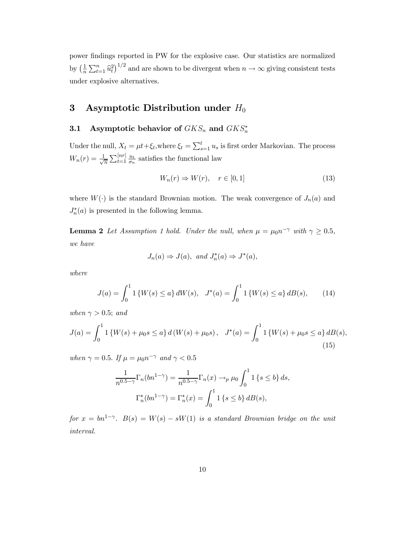power findings reported in PW for the explosive case. Our statistics are normalized by  $\left(\frac{1}{n}\right)$  $\frac{1}{n}\sum_{t=1}^n \hat{u}_t^2$  and are shown to be divergent when  $n \to \infty$  giving consistent tests under explosive alternatives.

# 3 Asymptotic Distribution under  $H_0$

# 3.1 Asymptotic behavior of  $GKS_n$  and  $GKS_n^*$

Under the null,  $X_t = \mu t + \xi_t$ , where  $\xi_t = \sum_{s=1}^t u_s$  is first order Markovian. The process  $W_n(r) = \frac{1}{\sqrt{2}}$  $\frac{1}{n}\sum_{t=1}^{[nr]} \frac{u_t}{\sigma_n}$  $\frac{u_t}{\sigma_n}$  satisfies the functional law

$$
W_n(r) \Rightarrow W(r), \quad r \in [0, 1] \tag{13}
$$

where  $W(\cdot)$  is the standard Brownian motion. The weak convergence of  $J_n(a)$  and  $J_n^*(a)$  is presented in the following lemma.

**Lemma 2** Let Assumption 1 hold. Under the null, when  $\mu = \mu_0 n^{-\gamma}$  with  $\gamma \ge 0.5$ , *we have*

$$
J_n(a) \Rightarrow J(a)
$$
, and  $J_n^*(a) \Rightarrow J^*(a)$ ,

*where*

$$
J(a) = \int_0^1 1\left\{W(s) \le a\right\} dW(s), \quad J^*(a) = \int_0^1 1\left\{W(s) \le a\right\} dB(s),\tag{14}
$$

*when*  $\gamma > 0.5$ *; and* 

$$
J(a) = \int_0^1 1\left\{W(s) + \mu_0 s \le a\right\} d\left(W(s) + \mu_0 s\right), \quad J^*(a) = \int_0^1 1\left\{W(s) + \mu_0 s \le a\right\} dB(s),\tag{15}
$$

*when*  $\gamma = 0.5$ *. If*  $\mu = \mu_0 n^{-\gamma}$  *and*  $\gamma < 0.5$ 

$$
\frac{1}{n^{0.5-\gamma}}\Gamma_n(bn^{1-\gamma}) = \frac{1}{n^{0.5-\gamma}}\Gamma_n(x) \to_p \mu_0 \int_0^1 \mathbb{1}\left\{s \le b\right\} ds,
$$

$$
\Gamma_n^*(bn^{1-\gamma}) = \Gamma_n^*(x) = \int_0^1 \mathbb{1}\left\{s \le b\right\} dB(s),
$$

 $for x = bn^{1-\gamma}$ .  $B(s) = W(s) - sW(1)$  *is a standard Brownian bridge on the unit interval.*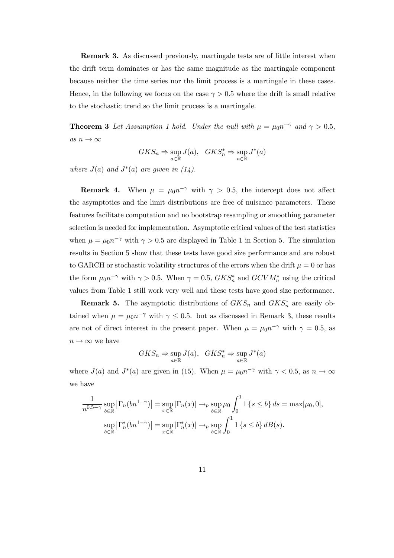Remark 3. As discussed previously, martingale tests are of little interest when the drift term dominates or has the same magnitude as the martingale component because neither the time series nor the limit process is a martingale in these cases. Hence, in the following we focus on the case  $\gamma > 0.5$  where the drift is small relative to the stochastic trend so the limit process is a martingale.

**Theorem 3** Let Assumption 1 hold. Under the null with  $\mu = \mu_0 n^{-\gamma}$  and  $\gamma > 0.5$ , *as*  $n \to \infty$ 

$$
GKS_n \Rightarrow \sup_{a \in \mathbb{R}} J(a), \quad GKS_n^* \Rightarrow \sup_{a \in \mathbb{R}} J^*(a)
$$

*where*  $J(a)$  *and*  $J^*(a)$  *are given in*  $(14)$ *.* 

**Remark 4.** When  $\mu = \mu_0 n^{-\gamma}$  with  $\gamma > 0.5$ , the intercept does not affect the asymptotics and the limit distributions are free of nuisance parameters. These features facilitate computation and no bootstrap resampling or smoothing parameter selection is needed for implementation. Asymptotic critical values of the test statistics when  $\mu = \mu_0 n^{-\gamma}$  with  $\gamma > 0.5$  are displayed in Table 1 in Section 5. The simulation results in Section 5 show that these tests have good size performance and are robust to GARCH or stochastic volatility structures of the errors when the drift  $\mu = 0$  or has the form  $\mu_0 n^{-\gamma}$  with  $\gamma > 0.5$ . When  $\gamma = 0.5$ ,  $GKS_n^*$  and  $GCVM_n^*$  using the critical values from Table 1 still work very well and these tests have good size performance.

**Remark 5.** The asymptotic distributions of  $GKS_n$  and  $GKS_n^*$  are easily obtained when  $\mu = \mu_0 n^{-\gamma}$  with  $\gamma \leq 0.5$ . but as discussed in Remark 3, these results are not of direct interest in the present paper. When  $\mu = \mu_0 n^{-\gamma}$  with  $\gamma = 0.5$ , as  $n \to \infty$  we have

$$
GKS_n \Rightarrow \sup_{a \in \mathbb{R}} J(a), \quad GKS_n^* \Rightarrow \sup_{a \in \mathbb{R}} J^*(a)
$$

where  $J(a)$  and  $J^*(a)$  are given in (15). When  $\mu = \mu_0 n^{-\gamma}$  with  $\gamma < 0.5$ , as  $n \to \infty$ we have

$$
\frac{1}{n^{0.5-\gamma}}\sup_{b\in\mathbb{R}}\left|\Gamma_n(bn^{1-\gamma})\right| = \sup_{x\in\mathbb{R}}\left|\Gamma_n(x)\right| \to_p \sup_{b\in\mathbb{R}}\mu_0 \int_0^1 1\left\{s\leq b\right\} ds = \max[\mu_0, 0],
$$

$$
\sup_{b\in\mathbb{R}}\left|\Gamma_n^*(bn^{1-\gamma})\right| = \sup_{x\in\mathbb{R}}\left|\Gamma_n^*(x)\right| \to_p \sup_{b\in\mathbb{R}}\int_0^1 1\left\{s\leq b\right\} dB(s).
$$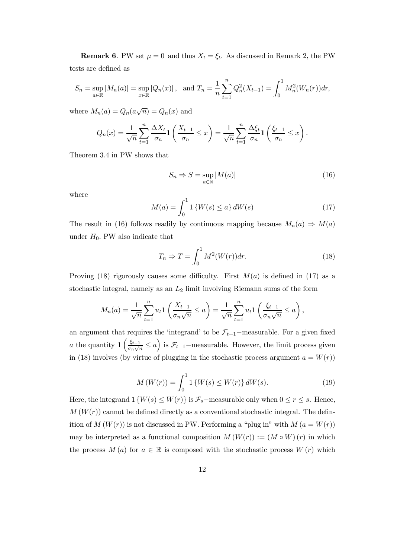**Remark 6.** PW set  $\mu = 0$  and thus  $X_t = \xi_t$ . As discussed in Remark 2, the PW tests are defined as

$$
S_n = \sup_{a \in \mathbb{R}} |M_n(a)| = \sup_{x \in \mathbb{R}} |Q_n(x)| \, , \text{ and } T_n = \frac{1}{n} \sum_{t=1}^n Q_n^2(X_{t-1}) = \int_0^1 M_n^2(W_n(r)) dr,
$$

where  $M_n(a) = Q_n(a\sqrt{n}) = Q_n(x)$  and

$$
Q_n(x) = \frac{1}{\sqrt{n}} \sum_{t=1}^n \frac{\Delta X_t}{\sigma_n} \mathbf{1}\left(\frac{X_{t-1}}{\sigma_n} \le x\right) = \frac{1}{\sqrt{n}} \sum_{t=1}^n \frac{\Delta \xi_t}{\sigma_n} \mathbf{1}\left(\frac{\xi_{t-1}}{\sigma_n} \le x\right).
$$

Theorem 3.4 in PW shows that

$$
S_n \Rightarrow S = \sup_{a \in \mathbb{R}} |M(a)| \tag{16}
$$

where

$$
M(a) = \int_0^1 1\{W(s) \le a\} dW(s)
$$
 (17)

The result in (16) follows readily by continuous mapping because  $M_n(a) \Rightarrow M(a)$ under  $H_0$ . PW also indicate that

$$
T_n \Rightarrow T = \int_0^1 M^2(W(r))dr.
$$
 (18)

Proving (18) rigorously causes some difficulty. First  $M(a)$  is defined in (17) as a stochastic integral, namely as an  $L_2$  limit involving Riemann sums of the form

$$
M_n(a) = \frac{1}{\sqrt{n}} \sum_{t=1}^n u_t \mathbf{1}\left(\frac{X_{t-1}}{\sigma_n \sqrt{n}} \le a\right) = \frac{1}{\sqrt{n}} \sum_{t=1}^n u_t \mathbf{1}\left(\frac{\xi_{t-1}}{\sigma_n \sqrt{n}} \le a\right),
$$

an argument that requires the 'integrand' to be  $\mathcal{F}_{t-1}$ -measurable. For a given fixed *a* the quantity  $\frac{1}{\sigma} \left( \frac{\xi_{t-1}}{\sigma} \right)$  $\frac{\xi_{t-1}}{\sigma_n\sqrt{n}} \leq a$  is  $\mathcal{F}_{t-1}$ -measurable. However, the limit process given in (18) involves (by virtue of plugging in the stochastic process argument  $a = W(r)$ )

$$
M(W(r)) = \int_0^1 1\{W(s) \le W(r)\} dW(s).
$$
 (19)

Here, the integrand  $1\{W(s) \leq W(r)\}\$ is  $\mathcal{F}_s$ -measurable only when  $0 \leq r \leq s$ . Hence,  $M(W(r))$  cannot be defined directly as a conventional stochastic integral. The definition of  $M(W(r))$  is not discussed in PW. Performing a "plug in" with  $M(a = W(r))$ may be interpreted as a functional composition  $M(W(r)) := (M \circ W)(r)$  in which the process  $M(a)$  for  $a \in \mathbb{R}$  is composed with the stochastic process  $W(r)$  which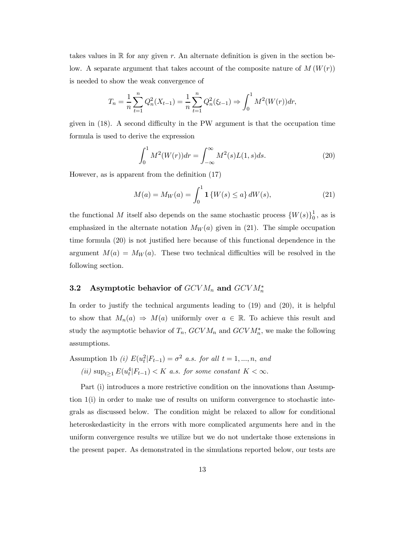takes values in  $\mathbb R$  for any given r. An alternate definition is given in the section below. A separate argument that takes account of the composite nature of  $M(W(r))$ is needed to show the weak convergence of

$$
T_n = \frac{1}{n} \sum_{t=1}^n Q_n^2(X_{t-1}) = \frac{1}{n} \sum_{t=1}^n Q_n^2(\xi_{t-1}) \Rightarrow \int_0^1 M^2(W(r)) dr,
$$

given in (18). A second difficulty in the PW argument is that the occupation time formula is used to derive the expression

$$
\int_0^1 M^2(W(r))dr = \int_{-\infty}^\infty M^2(s)L(1,s)ds.
$$
 (20)

However, as is apparent from the definition (17)

$$
M(a) = M_W(a) = \int_0^1 \mathbf{1}\left\{W(s) \le a\right\} dW(s),\tag{21}
$$

the functional M itself also depends on the same stochastic process  $\{W(s)\}_0^1$  $\frac{1}{0}$ , as is emphasized in the alternate notation  $M_W(a)$  given in (21). The simple occupation time formula (20) is not justified here because of this functional dependence in the argument  $M(a) = M_W(a)$ . These two technical difficulties will be resolved in the following section.

# 3.2 Asymptotic behavior of  $GCVM_n$  and  $GCVM_n^*$

In order to justify the technical arguments leading to (19) and (20), it is helpful to show that  $M_n(a) \Rightarrow M(a)$  uniformly over  $a \in \mathbb{R}$ . To achieve this result and study the asymptotic behavior of  $T_n$ ,  $GCVM_n$  and  $GCVM_n^*$ , we make the following assumptions.

Assumption 1b *(i)*  $E(u_t^2|F_{t-1}) = \sigma^2$  *a.s. for all*  $t = 1, ..., n$ , and

 $(iii)$  sup<sub>t≥1</sub>  $E(u_t^4|F_{t-1}) < K$  *a.s. for some constant*  $K < \infty$ .

Part (i) introduces a more restrictive condition on the innovations than Assumption 1(i) in order to make use of results on uniform convergence to stochastic integrals as discussed below. The condition might be relaxed to allow for conditional heteroskedasticity in the errors with more complicated arguments here and in the uniform convergence results we utilize but we do not undertake those extensions in the present paper. As demonstrated in the simulations reported below, our tests are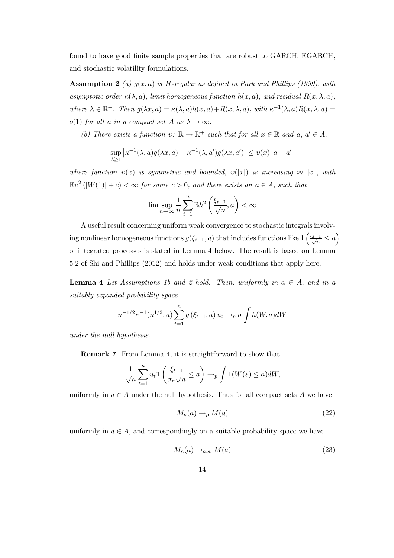found to have good finite sample properties that are robust to GARCH, EGARCH, and stochastic volatility formulations.

Assumption 2 *(a)* g(x, a) *is* H*-regular as defined in Park and Phillips (1999), with asymptotic order*  $\kappa(\lambda, a)$ *, limit homogeneous function*  $h(x, a)$ *, and residual*  $R(x, \lambda, a)$ *,* where  $\lambda \in \mathbb{R}^+$ *.* Then  $g(\lambda x, a) = \kappa(\lambda, a)h(x, a) + R(x, \lambda, a)$ , with  $\kappa^{-1}(\lambda, a)R(x, \lambda, a) =$ o(1) *for all* a *in a compact set* A as  $\lambda \rightarrow \infty$ *.* 

*(b)* There exists a function  $v: \mathbb{R} \to \mathbb{R}^+$  such that for all  $x \in \mathbb{R}$  and  $a, a' \in A$ ,

$$
\sup_{\lambda \ge 1} \left| \kappa^{-1}(\lambda, a) g(\lambda x, a) - \kappa^{-1}(\lambda, a') g(\lambda x, a') \right| \le v(x) \left| a - a' \right|
$$

*where function*  $v(x)$  *is symmetric and bounded,*  $v(|x|)$  *is increasing in* |x|, *with*  $\mathbb{E}v^2(|W(1)|+c) < \infty$  for some  $c > 0$ , and there exists an  $a \in A$ , such that

$$
\lim\sup_{n\to\infty}\frac{1}{n}\sum_{t=1}^n\mathbb{E} h^2\left(\frac{\xi_{t-1}}{\sqrt{n}},a\right)<\infty
$$

A useful result concerning uniform weak convergence to stochastic integrals involving nonlinear homogeneous functions  $g(\xi_{t-1}, a)$  that includes functions like  $1\left(\frac{\xi_{t-1}}{\sqrt{n}} \le a\right)$ of integrated processes is stated in Lemma 4 below. The result is based on Lemma 5.2 of Shi and Phillips (2012) and holds under weak conditions that apply here.

**Lemma 4** Let Assumptions 1b and 2 hold. Then, uniformly in  $a \in A$ , and in a *suitably expanded probability space*

$$
n^{-1/2} \kappa^{-1}(n^{1/2}, a) \sum_{t=1}^{n} g(\xi_{t-1}, a) u_t \to_p \sigma \int h(W, a) dW
$$

*under the null hypothesis.*

Remark 7. From Lemma 4, it is straightforward to show that

$$
\frac{1}{\sqrt{n}} \sum_{t=1}^{n} u_t \mathbf{1} \left( \frac{\xi_{t-1}}{\sigma_n \sqrt{n}} \le a \right) \to_p \int 1(W(s) \le a) dW,
$$

uniformly in  $a \in A$  under the null hypothesis. Thus for all compact sets A we have

$$
M_n(a) \to_p M(a) \tag{22}
$$

uniformly in  $a \in A$ , and correspondingly on a suitable probability space we have

$$
M_n(a) \to_{a.s.} M(a) \tag{23}
$$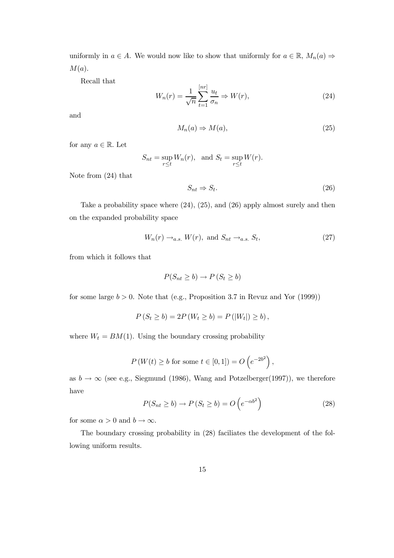uniformly in  $a \in A$ . We would now like to show that uniformly for  $a \in \mathbb{R}$ ,  $M_n(a) \Rightarrow$  $M(a).$ 

Recall that

$$
W_n(r) = \frac{1}{\sqrt{n}} \sum_{t=1}^{\lfloor nr \rfloor} \frac{u_t}{\sigma_n} \Rightarrow W(r),\tag{24}
$$

and

$$
M_n(a) \Rightarrow M(a),\tag{25}
$$

for any  $a \in \mathbb{R}$ . Let

$$
S_{nt} = \sup_{r \le t} W_n(r), \text{ and } S_t = \sup_{r \le t} W(r).
$$

Note from (24) that

$$
S_{nt} \Rightarrow S_t. \tag{26}
$$

Take a probability space where (24), (25), and (26) apply almost surely and then on the expanded probability space

$$
W_n(r) \to_{a.s.} W(r), \text{ and } S_{nt} \to_{a.s.} S_t,
$$
\n(27)

from which it follows that

$$
P(S_{nt} \ge b) \to P(S_t \ge b)
$$

for some large  $b > 0$ . Note that (e.g., Proposition 3.7 in Revuz and Yor (1999))

$$
P(S_t \ge b) = 2P(W_t \ge b) = P(|W_t|) \ge b),
$$

where  $W_t = BM(1)$ . Using the boundary crossing probability

$$
P(W(t) \ge b \text{ for some } t \in [0, 1]) = O(e^{-2b^2}),
$$

as  $b \to \infty$  (see e.g., Siegmund (1986), Wang and Potzelberger(1997)), we therefore have

$$
P(S_{nt} \ge b) \to P(S_t \ge b) = O\left(e^{-\alpha b^2}\right)
$$
\n(28)

for some  $\alpha > 0$  and  $b \to \infty$ .

The boundary crossing probability in (28) faciliates the development of the following uniform results.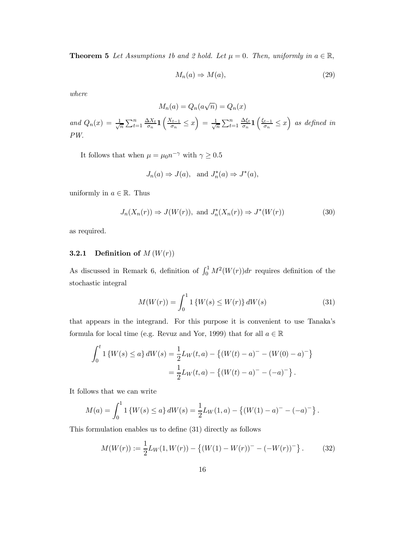**Theorem 5** Let Assumptions 1b and 2 hold. Let  $\mu = 0$ . Then, uniformly in  $a \in \mathbb{R}$ ,

$$
M_n(a) \Rightarrow M(a),\tag{29}
$$

*where*

$$
M_n(a) = Q_n(a\sqrt{n}) = Q_n(x)
$$

*and*  $Q_n(x) = \frac{1}{\sqrt{2}}$  $\frac{1}{n}\sum_{t=1}^n \frac{\Delta X_t}{\sigma_n}$  $\frac{\Delta X_t}{\sigma_n} \mathbf{1} \left( \frac{X_{t-1}}{\sigma_n} \right)$  $\frac{\zeta_{t-1}}{\sigma_n} \leq x$  =  $\frac{1}{\sqrt{3}}$  $\sum_{t=1}^n$  $\Delta \xi_t$  $\frac{\Delta \xi_t}{\sigma_n} \mathbf{1} \left( \frac{\xi_{t-1}}{\sigma_n} \right)$  $\left(\frac{x_{t-1}}{\sigma_n} \leq x\right)$  as defined in *PW.*

It follows that when  $\mu = \mu_0 n^{-\gamma}$  with  $\gamma \ge 0.5$ 

$$
J_n(a) \Rightarrow J(a)
$$
, and  $J_n^*(a) \Rightarrow J^*(a)$ ,

uniformly in  $a \in \mathbb{R}$ . Thus

$$
J_n(X_n(r)) \Rightarrow J(W(r)), \text{ and } J_n^*(X_n(r)) \Rightarrow J^*(W(r))
$$
\n(30)

as required.

#### **3.2.1** Definition of  $M(W(r))$

As discussed in Remark 6, definition of  $\int_0^1 M^2(W(r))dr$  requires definition of the stochastic integral

$$
M(W(r)) = \int_0^1 1\left\{W(s) \le W(r)\right\} dW(s)
$$
 (31)

that appears in the integrand. For this purpose it is convenient to use Tanaka's formula for local time (e.g. Revuz and Yor, 1999) that for all  $a \in \mathbb{R}$ 

$$
\int_0^t 1 \left\{ W(s) \le a \right\} dW(s) = \frac{1}{2} L_W(t, a) - \left\{ (W(t) - a)^- - (W(0) - a)^- \right\}
$$

$$
= \frac{1}{2} L_W(t, a) - \left\{ (W(t) - a)^- - (-a)^- \right\}.
$$

It follows that we can write

$$
M(a) = \int_0^1 1 \left\{ W(s) \le a \right\} dW(s) = \frac{1}{2} L_W(1, a) - \left\{ (W(1) - a)^- - (-a)^- \right\}.
$$

This formulation enables us to define (31) directly as follows

$$
M(W(r)) := \frac{1}{2}L_W(1, W(r)) - \{(W(1) - W(r))^{-} - (-W(r))^{-}\}.
$$
 (32)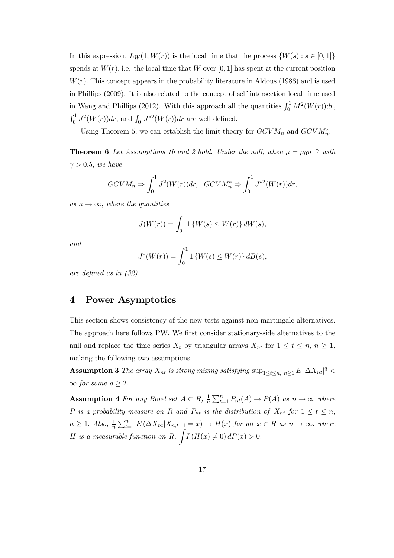In this expression,  $L_W(1, W(r))$  is the local time that the process  $\{W(s) : s \in [0, 1]\}$ spends at  $W(r)$ , i.e. the local time that W over [0, 1] has spent at the current position  $W(r)$ . This concept appears in the probability literature in Aldous (1986) and is used in Phillips (2009). It is also related to the concept of self intersection local time used in Wang and Phillips (2012). With this approach all the quantities  $\int_0^1 M^2(W(r))dr$ ,  $\int_0^1 J^2(W(r))dr$ , and  $\int_0^1 J^{*2}(W(r))dr$  are well defined.

Using Theorem 5, we can establish the limit theory for  $GCVM_n$  and  $GCVM_n^*$ .

**Theorem 6** Let Assumptions 1b and 2 hold. Under the null, when  $\mu = \mu_0 n^{-\gamma}$  with  $\gamma > 0.5$ , we have

$$
GCVM_n \Rightarrow \int_0^1 J^2(W(r))dr, \quad GCVM_n^* \Rightarrow \int_0^1 J^{*2}(W(r))dr,
$$

 $as n \rightarrow \infty$ , *where the quantities* 

$$
J(W(r)) = \int_0^1 1\{W(s) \le W(r)\} dW(s),
$$

*and*

$$
J^*(W(r)) = \int_0^1 1\{W(s) \le W(r)\} \, dB(s),
$$

*are defined as in (32).*

## 4 Power Asymptotics

This section shows consistency of the new tests against non-martingale alternatives. The approach here follows PW. We first consider stationary-side alternatives to the null and replace the time series  $X_t$  by triangular arrays  $X_{nt}$  for  $1 \le t \le n, n \ge 1$ , making the following two assumptions.

Assumption 3 *The array*  $X_{nt}$  *is strong mixing satisfying*  $\sup_{1 \le t \le n, n \ge 1} E |\Delta X_{nt}|^q$  $∞$  *for some*  $q ≥ 2$ .

Assumption 4 *For any Borel set*  $A \subset R$ ,  $\frac{1}{n}$  $\frac{1}{n} \sum_{t=1}^{n} P_{nt}(A) \rightarrow P(A)$  *as*  $n \rightarrow \infty$  *where* P is a probability measure on R and  $P_{nt}$  is the distribution of  $X_{nt}$  for  $1 \le t \le n$ ,  $n \geq 1$ . Also,  $\frac{1}{n} \sum_{t=1}^{n} E\left(\Delta X_{nt} | X_{n,t-1} = x\right) \rightarrow H(x)$  for all  $x \in R$  as  $n \rightarrow \infty$ , where H is a measurable function on R.  $\int I(H(x) \neq 0) dP(x) > 0$ .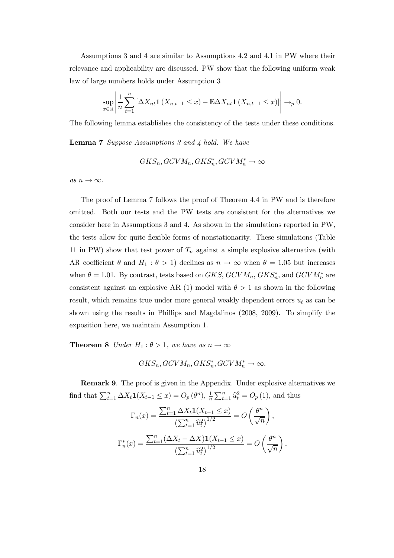Assumptions 3 and 4 are similar to Assumptions 4.2 and 4.1 in PW where their relevance and applicability are discussed. PW show that the following uniform weak law of large numbers holds under Assumption 3

$$
\sup_{x\in\mathbb{R}}\left|\frac{1}{n}\sum_{t=1}^n\left[\Delta X_{nt}\mathbf{1}\left(X_{n,t-1}\leq x\right)-\mathbb{E}\Delta X_{nt}\mathbf{1}\left(X_{n,t-1}\leq x\right)\right]\right|\to_p 0.
$$

The following lemma establishes the consistency of the tests under these conditions.

Lemma 7 *Suppose Assumptions 3 and 4 hold. We have*

$$
GKS_n, GCVM_n, GKS_n^*, GCVM_n^* \to \infty
$$

*as*  $n \to \infty$ .

The proof of Lemma 7 follows the proof of Theorem 4.4 in PW and is therefore omitted. Both our tests and the PW tests are consistent for the alternatives we consider here in Assumptions 3 and 4. As shown in the simulations reported in PW, the tests allow for quite flexible forms of nonstationarity. These simulations (Table 11 in PW) show that test power of  $T_n$  against a simple explosive alternative (with AR coefficient  $\theta$  and  $H_1$ :  $\theta > 1$ ) declines as  $n \to \infty$  when  $\theta = 1.05$  but increases when  $\theta = 1.01$ . By contrast, tests based on  $GKS$ ,  $GCVM_n$ ,  $GKS_n^*$ , and  $GCVM_n^*$  are consistent against an explosive AR (1) model with  $\theta > 1$  as shown in the following result, which remains true under more general weakly dependent errors  $u_t$  as can be shown using the results in Phillips and Magdalinos (2008, 2009). To simplify the exposition here, we maintain Assumption 1.

**Theorem 8** *Under*  $H_1: \theta > 1$ *, we have as*  $n \to \infty$ 

$$
GKS_n, GCVM_n, GKS_n^*, GCVM_n^* \to \infty.
$$

Remark 9. The proof is given in the Appendix. Under explosive alternatives we find that  $\sum_{t=1}^{n} \Delta X_t \mathbf{1}(X_{t-1} \leq x) = O_p(\theta^n), \frac{1}{n}$  $\frac{1}{n}\sum_{t=1}^{n} \hat{u}_t^2 = O_p(1)$ , and thus

$$
\Gamma_n(x) = \frac{\sum_{t=1}^n \Delta X_t \mathbf{1}(X_{t-1} \le x)}{\left(\sum_{t=1}^n \widehat{u}_t^2\right)^{1/2}} = O\left(\frac{\theta^n}{\sqrt{n}}\right),
$$

$$
\Gamma_n^*(x) = \frac{\sum_{t=1}^n (\Delta X_t - \overline{\Delta X}) \mathbf{1}(X_{t-1} \le x)}{\left(\sum_{t=1}^n \widehat{u}_t^2\right)^{1/2}} = O\left(\frac{\theta^n}{\sqrt{n}}\right),
$$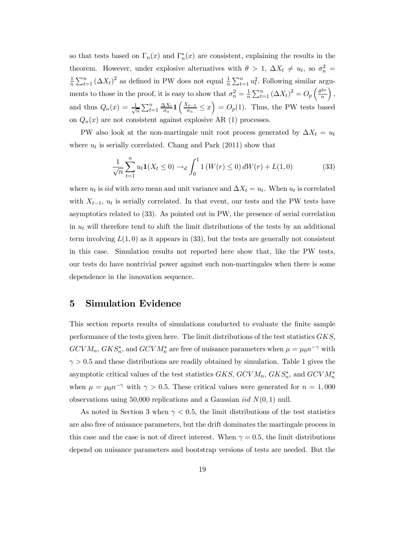so that tests based on  $\Gamma_n(x)$  and  $\Gamma_n^*(x)$  are consistent, explaining the results in the theorem. However, under explosive alternatives with  $\theta > 1$ ,  $\Delta X_t \neq u_t$ , so  $\sigma_n^2 =$ 1  $\frac{1}{n}\sum_{t=1}^{n} (\Delta X_t)^2$  as defined in PW does not equal  $\frac{1}{n}\sum_{t=1}^{n} u_t^2$ . Following similar arguments to those in the proof, it is easy to show that  $\sigma_n^2 = \frac{1}{n}$  $\frac{1}{n}\sum_{t=1}^{n} (\Delta X_t)^2 = O_p\left(\frac{\theta^{2n}}{n}\right)$ n  $\big),$ and thus  $Q_n(x) = \frac{1}{\sqrt{2}}$  $\frac{1}{n} \sum_{t=1}^n \frac{\Delta X_t}{\sigma_n}$  $\frac{\Delta X_t}{\sigma_n} \mathbf{1} \left( \frac{X_{t-1}}{\sigma_n} \right)$  $\left(\frac{\zeta_{t-1}}{\sigma_n} \leq x\right) = O_p(1)$ . Thus, the PW tests based on  $Q_n(x)$  are not consistent against explosive AR (1) processes.

PW also look at the non-martingale unit root process generated by  $\Delta X_t = u_t$ where  $u_t$  is serially correlated. Chang and Park (2011) show that

$$
\frac{1}{\sqrt{n}} \sum_{t=1}^{n} u_t \mathbf{1}(X_t \le 0) \to_d \int_0^1 \mathbf{1}(W(r) \le 0) dW(r) + L(1,0) \tag{33}
$$

where  $u_t$  is *iid* with zero mean and unit variance and  $\Delta X_t = u_t$ . When  $u_t$  is correlated with  $X_{t-1}$ ,  $u_t$  is serially correlated. In that event, our tests and the PW tests have asymptotics related to (33). As pointed out in PW, the presence of serial correlation in  $u_t$  will therefore tend to shift the limit distributions of the tests by an additional term involving  $L(1,0)$  as it appears in (33), but the tests are generally not consistent in this case. Simulation results not reported here show that, like the PW tests, our tests do have nontrivial power against such non-martingales when there is some dependence in the innovation sequence.

## 5 Simulation Evidence

This section reports results of simulations conducted to evaluate the finite sample performance of the tests given here. The limit distributions of the test statistics GKS,  $GCVM_n$ ,  $GKS_n^*$ , and  $GCVM_n^*$  are free of nuisance parameters when  $\mu = \mu_0 n^{-\gamma}$  with  $\gamma > 0.5$  and these distributions are readily obtained by simulation. Table 1 gives the asymptotic critical values of the test statistics  $GKS$ ,  $GCVM_n$ ,  $GKS_n^*$ , and  $GCVM_n^*$ when  $\mu = \mu_0 n^{-\gamma}$  with  $\gamma > 0.5$ . These critical values were generated for  $n = 1,000$ observations using 50,000 replications and a Gaussian *iid*  $N(0, 1)$  null.

As noted in Section 3 when  $\gamma < 0.5$ , the limit distributions of the test statistics are also free of nuisance parameters, but the drift dominates the martingale process in this case and the case is not of direct interest. When  $\gamma = 0.5$ , the limit distributions depend on nuisance parameters and bootstrap versions of tests are needed. But the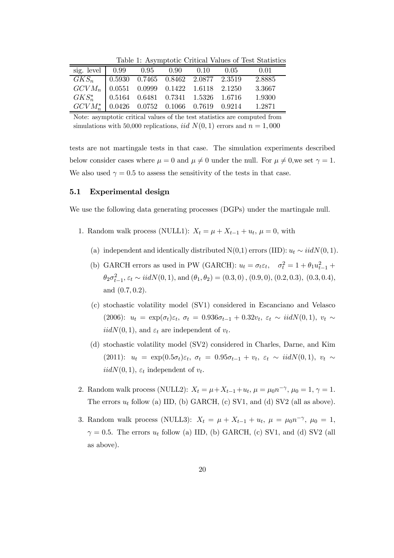|                                                                                                                                                                              |  |  |      | Table 1. The Hipponic Critical Values of Test Diamonds |
|------------------------------------------------------------------------------------------------------------------------------------------------------------------------------|--|--|------|--------------------------------------------------------|
| sig. level $\begin{array}{cccc} 0.99 & 0.95 & 0.90 & 0.10 \end{array}$                                                                                                       |  |  | 0.05 | 0.01                                                   |
|                                                                                                                                                                              |  |  |      | 2.8885                                                 |
| $\begin{array}{ l c c c c c } \hline GKS_n & 0.5930 & 0.7465 & 0.8462 & 2.0877 & 2.3519 \\ \hline GCVM_n & 0.0551 & 0.0999 & 0.1422 & 1.6118 & 2.1250 \\ \hline \end{array}$ |  |  |      | - 3.3667                                               |
|                                                                                                                                                                              |  |  |      | $GKS_n^*$   0.5164 0.6481 0.7341 1.5326 1.6716 1.9300  |

 $\frac{1}{n}$  | 0.0426 0.0752 0.1066 0.7619 0.9214 1.2871

Table 1: Asymptotic Critical Values of Test Statistics

Note: asymptotic critical values of the test statistics are computed from simulations with 50,000 replications, *iid*  $N(0, 1)$  errors and  $n = 1,000$ 

tests are not martingale tests in that case. The simulation experiments described below consider cases where  $\mu = 0$  and  $\mu \neq 0$  under the null. For  $\mu \neq 0$ , we set  $\gamma = 1$ . We also used  $\gamma = 0.5$  to assess the sensitivity of the tests in that case.

#### 5.1 Experimental design

 $GCVM_r^*$ 

We use the following data generating processes (DGPs) under the martingale null.

- 1. Random walk process (NULL1):  $X_t = \mu + X_{t-1} + u_t$ ,  $\mu = 0$ , with
	- (a) independent and identically distributed N(0,1) errors (IID):  $u_t \sim i i dN(0, 1)$ .
	- (b) GARCH errors as used in PW (GARCH):  $u_t = \sigma_t \varepsilon_t$ ,  $\sigma_t^2 = 1 + \theta_1 u_{t-1}^2 + \sigma_t^2 u_t^2$  $\theta_2 \sigma_{t-1}^2$ ,  $\varepsilon_t \sim \text{iidN}(0, 1)$ , and  $(\theta_1, \theta_2) = (0.3, 0), (0.9, 0), (0.2, 0.3), (0.3, 0.4)$ , and (0.7, 0.2).
	- (c) stochastic volatility model (SV1) considered in Escanciano and Velasco (2006):  $u_t = \exp(\sigma_t) \varepsilon_t$ ,  $\sigma_t = 0.936 \sigma_{t-1} + 0.32 v_t$ ,  $\varepsilon_t \sim \text{iidN}(0, 1)$ ,  $v_t \sim$  $iidN(0, 1)$ , and  $\varepsilon_t$  are independent of  $v_t$ .
	- (d) stochastic volatility model (SV2) considered in Charles, Darne, and Kim (2011):  $u_t = \exp(0.5\sigma_t)\varepsilon_t$ ,  $\sigma_t = 0.95\sigma_{t-1} + v_t$ ,  $\varepsilon_t \sim \textit{iidN}(0, 1)$ ,  $v_t \sim$  $iidN(0, 1), \varepsilon_t$  independent of  $v_t$ .
- 2. Random walk process (NULL2):  $X_t = \mu + X_{t-1} + u_t$ ,  $\mu = \mu_0 n^{-\gamma}$ ,  $\mu_0 = 1$ ,  $\gamma = 1$ . The errors  $u_t$  follow (a) IID, (b) GARCH, (c) SV1, and (d) SV2 (all as above).
- 3. Random walk process (NULL3):  $X_t = \mu + X_{t-1} + u_t$ ,  $\mu = \mu_0 n^{-\gamma}$ ,  $\mu_0 = 1$ ,  $\gamma = 0.5$ . The errors  $u_t$  follow (a) IID, (b) GARCH, (c) SV1, and (d) SV2 (all as above).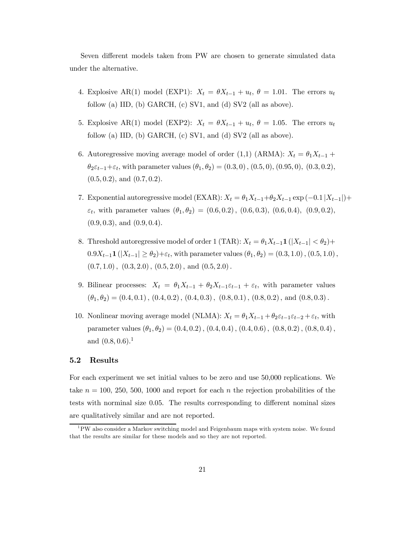Seven different models taken from PW are chosen to generate simulated data under the alternative.

- 4. Explosive AR(1) model (EXP1):  $X_t = \theta X_{t-1} + u_t, \theta = 1.01$ . The errors  $u_t$ follow (a) IID, (b) GARCH, (c) SV1, and (d) SV2 (all as above).
- 5. Explosive AR(1) model (EXP2):  $X_t = \theta X_{t-1} + u_t, \ \theta = 1.05$ . The errors  $u_t$ follow (a) IID, (b) GARCH, (c) SV1, and (d) SV2 (all as above).
- 6. Autoregressive moving average model of order (1,1) (ARMA):  $X_t = \theta_1 X_{t-1} +$  $\theta_2 \varepsilon_{t-1} + \varepsilon_t$ , with parameter values  $(\theta_1, \theta_2) = (0.3, 0), (0.5, 0), (0.95, 0), (0.3, 0.2),$  $(0.5, 0.2)$ , and  $(0.7, 0.2)$ .
- 7. Exponential autoregressive model (EXAR):  $X_t = \theta_1 X_{t-1} + \theta_2 X_{t-1}$  exp  $(-0.1 | X_{t-1}|)$ +  $\varepsilon_t$ , with parameter values  $(\theta_1, \theta_2) = (0.6, 0.2), (0.6, 0.3), (0.6, 0.4), (0.9, 0.2),$  $(0.9, 0.3),$  and  $(0.9, 0.4).$
- 8. Threshold autoregressive model of order 1 (TAR):  $X_t = \theta_1 X_{t-1} \mathbf{1}(|X_{t-1}| < \theta_2) +$  $0.9X_{t-1}$ **1** ( $|X_{t-1}| \ge \theta_2$ )+ $\varepsilon_t$ , with parameter values  $(\theta_1, \theta_2) = (0.3, 1.0)$ ,  $(0.5, 1.0)$ ,  $(0.7, 1.0)$ ,  $(0.3, 2.0)$ ,  $(0.5, 2.0)$ , and  $(0.5, 2.0)$ .
- 9. Bilinear processes:  $X_t = \theta_1 X_{t-1} + \theta_2 X_{t-1} \varepsilon_{t-1} + \varepsilon_t$ , with parameter values  $(\theta_1, \theta_2) = (0.4, 0.1), (0.4, 0.2), (0.4, 0.3), (0.8, 0.1), (0.8, 0.2), \text{ and } (0.8, 0.3).$
- 10. Nonlinear moving average model (NLMA):  $X_t = \theta_1 X_{t-1} + \theta_2 \varepsilon_{t-1} \varepsilon_{t-2} + \varepsilon_t$ , with parameter values  $(\theta_1, \theta_2) = (0.4, 0.2), (0.4, 0.4), (0.4, 0.6), (0.8, 0.2), (0.8, 0.4),$ and  $(0.8, 0.6).$ <sup>1</sup>

#### 5.2 Results

For each experiment we set initial values to be zero and use 50,000 replications. We take  $n = 100, 250, 500, 1000$  and report for each n the rejection probabilities of the tests with norminal size 0.05. The results corresponding to different nominal sizes are qualitatively similar and are not reported.

<sup>&</sup>lt;sup>1</sup>PW also consider a Markov switching model and Feigenbaum maps with system noise. We found that the results are similar for these models and so they are not reported.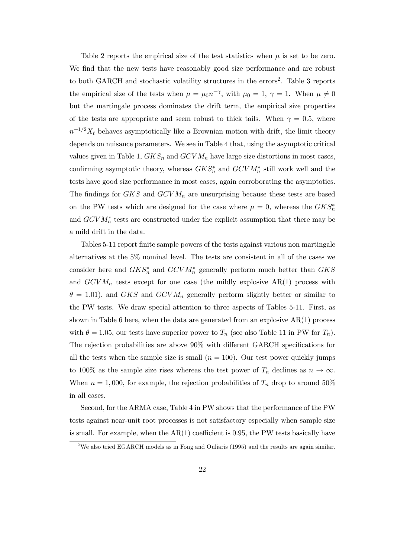Table 2 reports the empirical size of the test statistics when  $\mu$  is set to be zero. We find that the new tests have reasonably good size performance and are robust to both GARCH and stochastic volatility structures in the errors<sup>2</sup>. Table 3 reports the empirical size of the tests when  $\mu = \mu_0 n^{-\gamma}$ , with  $\mu_0 = 1$ ,  $\gamma = 1$ . When  $\mu \neq 0$ but the martingale process dominates the drift term, the empirical size properties of the tests are appropriate and seem robust to thick tails. When  $\gamma = 0.5$ , where  $n^{-1/2}X_t$  behaves asymptotically like a Brownian motion with drift, the limit theory depends on nuisance parameters. We see in Table 4 that, using the asymptotic critical values given in Table 1,  $GKS_n$  and  $GCVM_n$  have large size distortions in most cases, confirming asymptotic theory, whereas  $GKS_n^*$  and  $GCVM_n^*$  still work well and the tests have good size performance in most cases, again corroborating the asymptotics. The findings for  $GKS$  and  $GCVM_n$  are unsurprising because these tests are based on the PW tests which are designed for the case where  $\mu = 0$ , whereas the  $GKS_n^*$ and  $GCVM_{n}^{*}$  tests are constructed under the explicit assumption that there may be a mild drift in the data.

Tables 5-11 report finite sample powers of the tests against various non martingale alternatives at the 5% nominal level. The tests are consistent in all of the cases we consider here and  $GKS_n^*$  and  $GCVM_n^*$  generally perform much better than  $GKS$ and  $GCVM_n$  tests except for one case (the mildly explosive  $AR(1)$  process with  $\theta = 1.01$ , and GKS and GCVM<sub>n</sub> generally perform slightly better or similar to the PW tests. We draw special attention to three aspects of Tables 5-11. First, as shown in Table 6 here, when the data are generated from an explosive  $AR(1)$  process with  $\theta = 1.05$ , our tests have superior power to  $T_n$  (see also Table 11 in PW for  $T_n$ ). The rejection probabilities are above 90% with different GARCH specifications for all the tests when the sample size is small  $(n = 100)$ . Our test power quickly jumps to 100% as the sample size rises whereas the test power of  $T_n$  declines as  $n \to \infty$ . When  $n = 1,000$ , for example, the rejection probabilities of  $T_n$  drop to around 50% in all cases.

Second, for the ARMA case, Table 4 in PW shows that the performance of the PW tests against near-unit root processes is not satisfactory especially when sample size is small. For example, when the  $AR(1)$  coefficient is 0.95, the PW tests basically have

<sup>&</sup>lt;sup>2</sup>We also tried EGARCH models as in Fong and Ouliaris (1995) and the results are again similar.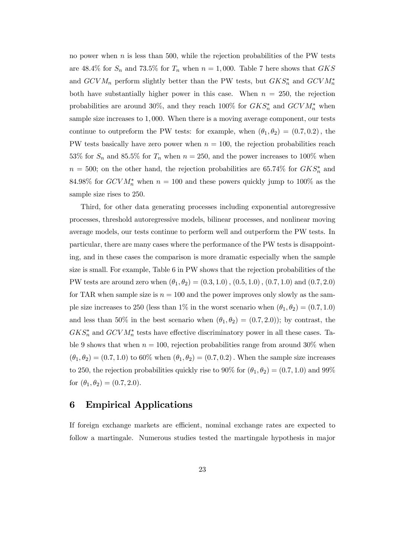no power when  $n$  is less than 500, while the rejection probabilities of the PW tests are 48.4% for  $S_n$  and 73.5% for  $T_n$  when  $n = 1,000$ . Table 7 here shows that GKS and  $GCVM_n$  perform slightly better than the PW tests, but  $GKS_n^*$  and  $GCVM_n^*$ both have substantially higher power in this case. When  $n = 250$ , the rejection probabilities are around 30%, and they reach  $100\%$  for  $GKS_n^*$  and  $GCVM_n^*$  when sample size increases to 1, 000. When there is a moving average component, our tests continue to outpreform the PW tests: for example, when  $(\theta_1, \theta_2) = (0.7, 0.2)$ , the PW tests basically have zero power when  $n = 100$ , the rejection probabilities reach 53% for  $S_n$  and 85.5% for  $T_n$  when  $n = 250$ , and the power increases to 100% when  $n = 500$ ; on the other hand, the rejection probabilities are 65.74% for  $GKS_n^*$  and 84.98% for  $GCVM_n^*$  when  $n = 100$  and these powers quickly jump to 100% as the sample size rises to 250.

Third, for other data generating processes including exponential autoregressive processes, threshold autoregressive models, bilinear processes, and nonlinear moving average models, our tests continue to perform well and outperform the PW tests. In particular, there are many cases where the performance of the PW tests is disappointing, and in these cases the comparison is more dramatic especially when the sample size is small. For example, Table 6 in PW shows that the rejection probabilities of the PW tests are around zero when  $(\theta_1, \theta_2) = (0.3, 1.0), (0.5, 1.0), (0.7, 1.0)$  and  $(0.7, 2.0)$ for TAR when sample size is  $n = 100$  and the power improves only slowly as the sample size increases to 250 (less than 1% in the worst scenario when  $(\theta_1, \theta_2) = (0.7, 1.0)$ and less than 50% in the best scenario when  $(\theta_1, \theta_2) = (0.7, 2.0)$ ; by contrast, the  $GKS_n^*$  and  $GCVM_n^*$  tests have effective discriminatory power in all these cases. Table 9 shows that when  $n = 100$ , rejection probabilities range from around 30% when  $(\theta_1, \theta_2) = (0.7, 1.0)$  to 60% when  $(\theta_1, \theta_2) = (0.7, 0.2)$ . When the sample size increases to 250, the rejection probabilities quickly rise to 90% for  $(\theta_1, \theta_2) = (0.7, 1.0)$  and 99% for  $(\theta_1, \theta_2) = (0.7, 2.0)$ .

## 6 Empirical Applications

If foreign exchange markets are efficient, nominal exchange rates are expected to follow a martingale. Numerous studies tested the martingale hypothesis in major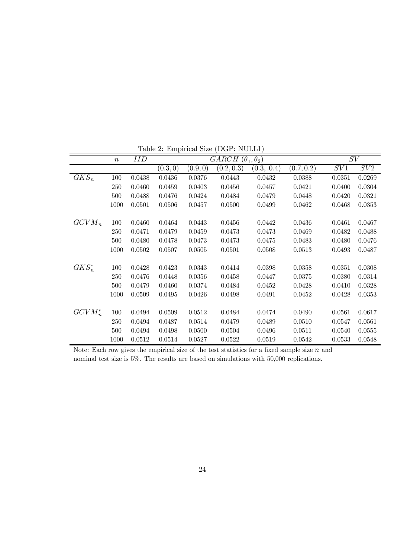|            | $\boldsymbol{n}$ | <b>IID</b> |          |          | GARCH $(\theta_1, \theta_2)$ |             |            | SV     |        |
|------------|------------------|------------|----------|----------|------------------------------|-------------|------------|--------|--------|
|            |                  |            | (0.3, 0) | (0.9, 0) | (0.2, 0.3)                   | (0.3, .0.4) | (0.7, 0.2) | SV1    | SV2    |
| $GKS_n$    | 100              | 0.0438     | 0.0436   | 0.0376   | 0.0443                       | 0.0432      | 0.0388     | 0.0351 | 0.0269 |
|            | 250              | 0.0460     | 0.0459   | 0.0403   | 0.0456                       | 0.0457      | 0.0421     | 0.0400 | 0.0304 |
|            | 500              | 0.0488     | 0.0476   | 0.0424   | 0.0484                       | 0.0479      | 0.0448     | 0.0420 | 0.0321 |
|            | 1000             | 0.0501     | 0.0506   | 0.0457   | 0.0500                       | 0.0499      | 0.0462     | 0.0468 | 0.0353 |
|            |                  |            |          |          |                              |             |            |        |        |
| $GCVM_n$   | 100              | 0.0460     | 0.0464   | 0.0443   | 0.0456                       | 0.0442      | 0.0436     | 0.0461 | 0.0467 |
|            | 250              | 0.0471     | 0.0479   | 0.0459   | 0.0473                       | 0.0473      | 0.0469     | 0.0482 | 0.0488 |
|            | 500              | 0.0480     | 0.0478   | 0.0473   | 0.0473                       | 0.0475      | 0.0483     | 0.0480 | 0.0476 |
|            | 1000             | 0.0502     | 0.0507   | 0.0505   | 0.0501                       | 0.0508      | 0.0513     | 0.0493 | 0.0487 |
|            |                  |            |          |          |                              |             |            |        |        |
| $GKS_n^*$  | 100              | 0.0428     | 0.0423   | 0.0343   | 0.0414                       | 0.0398      | 0.0358     | 0.0351 | 0.0308 |
|            | 250              | 0.0476     | 0.0448   | 0.0356   | 0.0458                       | 0.0447      | 0.0375     | 0.0380 | 0.0314 |
|            | 500              | 0.0479     | 0.0460   | 0.0374   | 0.0484                       | 0.0452      | 0.0428     | 0.0410 | 0.0328 |
|            | 1000             | 0.0509     | 0.0495   | 0.0426   | 0.0498                       | 0.0491      | 0.0452     | 0.0428 | 0.0353 |
|            |                  |            |          |          |                              |             |            |        |        |
| $GCVM_n^*$ | 100              | 0.0494     | 0.0509   | 0.0512   | 0.0484                       | 0.0474      | 0.0490     | 0.0561 | 0.0617 |
|            | 250              | 0.0494     | 0.0487   | 0.0514   | 0.0479                       | 0.0489      | 0.0510     | 0.0547 | 0.0561 |
|            | 500              | 0.0494     | 0.0498   | 0.0500   | 0.0504                       | 0.0496      | 0.0511     | 0.0540 | 0.0555 |
|            | 1000             | 0.0512     | 0.0514   | 0.0527   | 0.0522                       | 0.0519      | 0.0542     | 0.0533 | 0.0548 |

Table 2: Empirical Size (DGP: NULL1)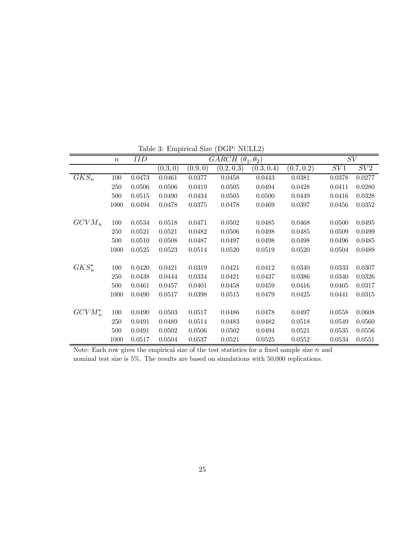|            | $\boldsymbol{n}$ | IID    |         |          | GARCH $(\theta_1, \theta_2)$ |            |            | SV     |        |
|------------|------------------|--------|---------|----------|------------------------------|------------|------------|--------|--------|
|            |                  |        | (0.3,0) | (0.9, 0) | (0.2, 0.3)                   | (0.3, 0.4) | (0.7, 0.2) | SV1    | SV2    |
| $GKS_n$    | 100              | 0.0473 | 0.0461  | 0.0377   | 0.0458                       | 0.0443     | 0.0381     | 0.0378 | 0.0277 |
|            | 250              | 0.0506 | 0.0506  | 0.0419   | 0.0505                       | 0.0494     | 0.0428     | 0.0411 | 0.0280 |
|            | 500              | 0.0515 | 0.0490  | 0.0434   | 0.0505                       | 0.0500     | 0.0449     | 0.0416 | 0.0328 |
|            | 1000             | 0.0494 | 0.0478  | 0.0375   | 0.0478                       | 0.0469     | 0.0397     | 0.0456 | 0.0352 |
|            |                  |        |         |          |                              |            |            |        |        |
| $GCVM_n$   | 100              | 0.0534 | 0.0518  | 0.0471   | 0.0502                       | 0.0485     | 0.0468     | 0.0500 | 0.0495 |
|            | 250              | 0.0521 | 0.0521  | 0.0482   | 0.0506                       | 0.0498     | 0.0485     | 0.0509 | 0.0499 |
|            | 500              | 0.0510 | 0.0508  | 0.0487   | 0.0497                       | 0.0498     | 0.0498     | 0.0496 | 0.0485 |
|            | 1000             | 0.0525 | 0.0523  | 0.0514   | 0.0520                       | 0.0519     | 0.0520     | 0.0504 | 0.0489 |
|            |                  |        |         |          |                              |            |            |        |        |
| $GKS_n^*$  | 100              | 0.0420 | 0.0421  | 0.0319   | 0.0421                       | 0.0412     | 0.0340     | 0.0333 | 0.0307 |
|            | 250              | 0.0438 | 0.0444  | 0.0334   | 0.0421                       | 0.0437     | 0.0386     | 0.0340 | 0.0326 |
|            | 500              | 0.0461 | 0.0457  | 0.0401   | 0.0458                       | 0.0459     | 0.0416     | 0.0405 | 0.0317 |
|            | 1000             | 0.0490 | 0.0517  | 0.0398   | 0.0515                       | 0.0479     | 0.0425     | 0.0441 | 0.0315 |
|            |                  |        |         |          |                              |            |            |        |        |
| $GCVM_n^*$ | 100              | 0.0490 | 0.0503  | 0.0517   | 0.0486                       | 0.0478     | 0.0497     | 0.0558 | 0.0608 |
|            | 250              | 0.0491 | 0.0489  | 0.0514   | 0.0483                       | 0.0482     | 0.0518     | 0.0549 | 0.0560 |
|            | 500              | 0.0491 | 0.0502  | 0.0506   | 0.0502                       | 0.0494     | 0.0521     | 0.0535 | 0.0556 |
|            | 1000             | 0.0517 | 0.0504  | 0.0537   | 0.0521                       | 0.0525     | 0.0552     | 0.0534 | 0.0551 |

Table 3: Empirical Size (DGP: NULL2)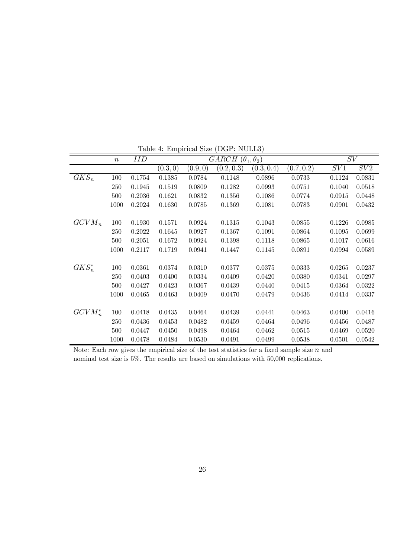|            | $\boldsymbol{n}$ | IID    |         |          | GARCH $(\theta_1, \theta_2)$ |            |            | SV     |        |
|------------|------------------|--------|---------|----------|------------------------------|------------|------------|--------|--------|
|            |                  |        | (0.3,0) | (0.9, 0) | (0.2, 0.3)                   | (0.3, 0.4) | (0.7, 0.2) | SV1    | SV2    |
| $GKS_n$    | 100              | 0.1754 | 0.1385  | 0.0784   | 0.1148                       | 0.0896     | 0.0733     | 0.1124 | 0.0831 |
|            | 250              | 0.1945 | 0.1519  | 0.0809   | 0.1282                       | 0.0993     | 0.0751     | 0.1040 | 0.0518 |
|            | 500              | 0.2036 | 0.1621  | 0.0832   | 0.1356                       | 0.1086     | 0.0774     | 0.0915 | 0.0448 |
|            | 1000             | 0.2024 | 0.1630  | 0.0785   | 0.1369                       | 0.1081     | 0.0783     | 0.0901 | 0.0432 |
|            |                  |        |         |          |                              |            |            |        |        |
| $GCVM_n$   | 100              | 0.1930 | 0.1571  | 0.0924   | 0.1315                       | 0.1043     | 0.0855     | 0.1226 | 0.0985 |
|            | 250              | 0.2022 | 0.1645  | 0.0927   | 0.1367                       | 0.1091     | 0.0864     | 0.1095 | 0.0699 |
|            | 500              | 0.2051 | 0.1672  | 0.0924   | 0.1398                       | 0.1118     | 0.0865     | 0.1017 | 0.0616 |
|            | 1000             | 0.2117 | 0.1719  | 0.0941   | 0.1447                       | 0.1145     | 0.0891     | 0.0994 | 0.0589 |
|            |                  |        |         |          |                              |            |            |        |        |
| $GKS_n^*$  | 100              | 0.0361 | 0.0374  | 0.0310   | 0.0377                       | 0.0375     | 0.0333     | 0.0265 | 0.0237 |
|            | 250              | 0.0403 | 0.0400  | 0.0334   | 0.0409                       | 0.0420     | 0.0380     | 0.0341 | 0.0297 |
|            | 500              | 0.0427 | 0.0423  | 0.0367   | 0.0439                       | 0.0440     | 0.0415     | 0.0364 | 0.0322 |
|            | 1000             | 0.0465 | 0.0463  | 0.0409   | 0.0470                       | 0.0479     | 0.0436     | 0.0414 | 0.0337 |
|            |                  |        |         |          |                              |            |            |        |        |
| $GCVM_n^*$ | 100              | 0.0418 | 0.0435  | 0.0464   | 0.0439                       | 0.0441     | 0.0463     | 0.0400 | 0.0416 |
|            | 250              | 0.0436 | 0.0453  | 0.0482   | 0.0459                       | 0.0464     | 0.0496     | 0.0456 | 0.0487 |
|            | 500              | 0.0447 | 0.0450  | 0.0498   | 0.0464                       | 0.0462     | 0.0515     | 0.0469 | 0.0520 |
|            | 1000             | 0.0478 | 0.0484  | 0.0530   | 0.0491                       | 0.0499     | 0.0538     | 0.0501 | 0.0542 |

Table 4: Empirical Size (DGP: NULL3)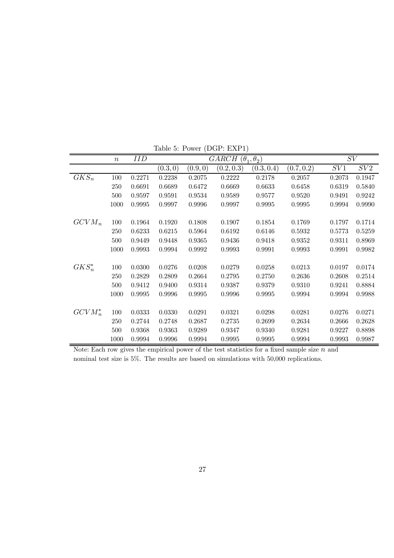|            | $\boldsymbol{n}$ | IID    |          |          | $\overline{GARCH(\theta_1, \theta_2)}$ |            |            |        | SV     |
|------------|------------------|--------|----------|----------|----------------------------------------|------------|------------|--------|--------|
|            |                  |        | (0.3, 0) | (0.9, 0) | (0.2, 0.3)                             | (0.3, 0.4) | (0.7, 0.2) | SV1    | SV2    |
| $GKS_n$    | 100              | 0.2271 | 0.2238   | 0.2075   | 0.2222                                 | 0.2178     | 0.2057     | 0.2073 | 0.1947 |
|            | 250              | 0.6691 | 0.6689   | 0.6472   | 0.6669                                 | 0.6633     | 0.6458     | 0.6319 | 0.5840 |
|            | 500              | 0.9597 | 0.9591   | 0.9534   | 0.9589                                 | 0.9577     | 0.9520     | 0.9491 | 0.9242 |
|            | 1000             | 0.9995 | 0.9997   | 0.9996   | 0.9997                                 | 0.9995     | 0.9995     | 0.9994 | 0.9990 |
|            |                  |        |          |          |                                        |            |            |        |        |
| $GCVM_n$   | 100              | 0.1964 | 0.1920   | 0.1808   | 0.1907                                 | 0.1854     | 0.1769     | 0.1797 | 0.1714 |
|            | 250              | 0.6233 | 0.6215   | 0.5964   | 0.6192                                 | 0.6146     | 0.5932     | 0.5773 | 0.5259 |
|            | 500              | 0.9449 | 0.9448   | 0.9365   | 0.9436                                 | 0.9418     | 0.9352     | 0.9311 | 0.8969 |
|            | 1000             | 0.9993 | 0.9994   | 0.9992   | 0.9993                                 | 0.9991     | 0.9993     | 0.9991 | 0.9982 |
|            |                  |        |          |          |                                        |            |            |        |        |
| $GKS_n^*$  | 100              | 0.0300 | 0.0276   | 0.0208   | 0.0279                                 | 0.0258     | 0.0213     | 0.0197 | 0.0174 |
|            | 250              | 0.2829 | 0.2809   | 0.2664   | 0.2795                                 | 0.2750     | 0.2636     | 0.2608 | 0.2514 |
|            | 500              | 0.9412 | 0.9400   | 0.9314   | 0.9387                                 | 0.9379     | 0.9310     | 0.9241 | 0.8884 |
|            | 1000             | 0.9995 | 0.9996   | 0.9995   | 0.9996                                 | 0.9995     | 0.9994     | 0.9994 | 0.9988 |
|            |                  |        |          |          |                                        |            |            |        |        |
| $GCVM_n^*$ | 100              | 0.0333 | 0.0330   | 0.0291   | 0.0321                                 | 0.0298     | 0.0281     | 0.0276 | 0.0271 |
|            | 250              | 0.2744 | 0.2748   | 0.2687   | 0.2735                                 | 0.2699     | 0.2634     | 0.2666 | 0.2628 |
|            | 500              | 0.9368 | 0.9363   | 0.9289   | 0.9347                                 | 0.9340     | 0.9281     | 0.9227 | 0.8898 |
|            | 1000             | 0.9994 | 0.9996   | 0.9994   | 0.9995                                 | 0.9995     | 0.9994     | 0.9993 | 0.9987 |

Table 5: Power (DGP: EXP1)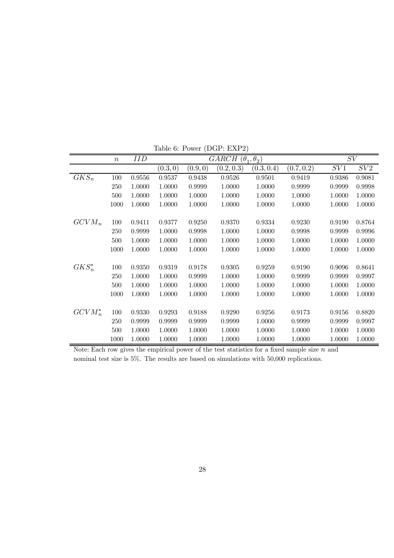|            | $\, n$ | IID    |          |          | $\overline{GARCH(\theta_1, \theta_2)}$ |            |            | SV     |        |
|------------|--------|--------|----------|----------|----------------------------------------|------------|------------|--------|--------|
|            |        |        | (0.3, 0) | (0.9, 0) | (0.2, 0.3)                             | (0.3, 0.4) | (0.7, 0.2) | SV1    | SV2    |
| $GKS_n$    | 100    | 0.9556 | 0.9537   | 0.9438   | 0.9526                                 | 0.9501     | 0.9419     | 0.9386 | 0.9081 |
|            | 250    | 1.0000 | 1.0000   | 0.9999   | 1.0000                                 | 1.0000     | 0.9999     | 0.9999 | 0.9998 |
|            | 500    | 1.0000 | 1.0000   | 1.0000   | 1.0000                                 | 1.0000     | 1.0000     | 1.0000 | 1.0000 |
|            | 1000   | 1.0000 | 1.0000   | 1.0000   | 1.0000                                 | 1.0000     | 1.0000     | 1.0000 | 1.0000 |
|            |        |        |          |          |                                        |            |            |        |        |
| $GCVM_n$   | 100    | 0.9411 | 0.9377   | 0.9250   | 0.9370                                 | 0.9334     | 0.9230     | 0.9190 | 0.8764 |
|            | 250    | 0.9999 | 1.0000   | 0.9998   | 1.0000                                 | 1.0000     | 0.9998     | 0.9999 | 0.9996 |
|            | 500    | 1.0000 | 1.0000   | 1.0000   | 1.0000                                 | 1.0000     | 1.0000     | 1.0000 | 1.0000 |
|            | 1000   | 1.0000 | 1.0000   | 1.0000   | 1.0000                                 | 1.0000     | 1.0000     | 1.0000 | 1.0000 |
|            |        |        |          |          |                                        |            |            |        |        |
| $GKS_n^*$  | 100    | 0.9350 | 0.9319   | 0.9178   | 0.9305                                 | 0.9259     | 0.9190     | 0.9096 | 0.8641 |
|            | 250    | 1.0000 | 1.0000   | 0.9999   | 1.0000                                 | 1.0000     | 0.9999     | 0.9999 | 0.9997 |
|            | 500    | 1.0000 | 1.0000   | 1.0000   | 1.0000                                 | 1.0000     | 1.0000     | 1.0000 | 1.0000 |
|            | 1000   | 1.0000 | 1.0000   | 1.0000   | 1.0000                                 | 1.0000     | 1.0000     | 1.0000 | 1.0000 |
|            |        |        |          |          |                                        |            |            |        |        |
| $GCVM_n^*$ | 100    | 0.9330 | 0.9293   | 0.9188   | 0.9290                                 | 0.9256     | 0.9173     | 0.9156 | 0.8820 |
|            | 250    | 0.9999 | 0.9999   | 0.9999   | 0.9999                                 | 1.0000     | 0.9999     | 0.9999 | 0.9997 |
|            | 500    | 1.0000 | 1.0000   | 1.0000   | 1.0000                                 | 1.0000     | 1.0000     | 1.0000 | 1.0000 |
|            | 1000   | 1.0000 | 1.0000   | 1.0000   | 1.0000                                 | 1.0000     | 1.0000     | 1.0000 | 1.0000 |

Table 6: Power (DGP: EXP2)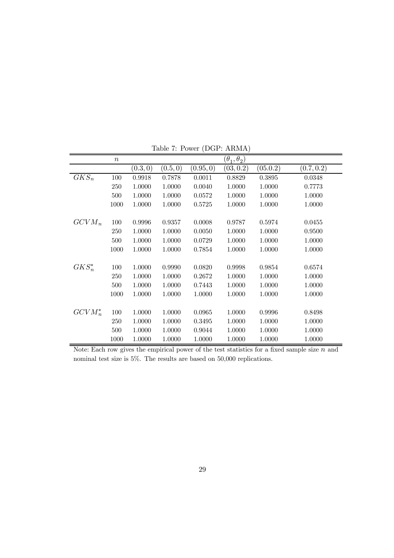|            | $\boldsymbol{n}$ |          |          |           | $(\theta_1, \theta_2)$ |          |            |
|------------|------------------|----------|----------|-----------|------------------------|----------|------------|
|            |                  | (0.3, 0) | (0.5, 0) | (0.95, 0) | (03, 0.2)              | (05.0.2) | (0.7, 0.2) |
| $GKS_n$    | 100              | 0.9918   | 0.7878   | 0.0011    | 0.8829                 | 0.3895   | 0.0348     |
|            | 250              | 1.0000   | 1.0000   | 0.0040    | 1.0000                 | 1.0000   | 0.7773     |
|            | 500              | 1.0000   | 1.0000   | 0.0572    | 1.0000                 | 1.0000   | 1.0000     |
|            | 1000             | 1.0000   | 1.0000   | 0.5725    | 1.0000                 | 1.0000   | 1.0000     |
|            |                  |          |          |           |                        |          |            |
| $GCVM_n$   | 100              | 0.9996   | 0.9357   | 0.0008    | 0.9787                 | 0.5974   | 0.0455     |
|            | 250              | 1.0000   | 1.0000   | 0.0050    | 1.0000                 | 1.0000   | 0.9500     |
|            | 500              | 1.0000   | 1.0000   | 0.0729    | 1.0000                 | 1.0000   | 1.0000     |
|            | 1000             | 1.0000   | 1.0000   | 0.7854    | 1.0000                 | 1.0000   | 1.0000     |
|            |                  |          |          |           |                        |          |            |
| $GKS_n^*$  | 100              | 1.0000   | 0.9990   | 0.0820    | 0.9998                 | 0.9854   | 0.6574     |
|            | 250              | 1.0000   | 1.0000   | 0.2672    | 1.0000                 | 1.0000   | 1.0000     |
|            | 500              | 1.0000   | 1.0000   | 0.7443    | 1.0000                 | 1.0000   | 1.0000     |
|            | 1000             | 1.0000   | 1.0000   | 1.0000    | 1.0000                 | 1.0000   | 1.0000     |
|            |                  |          |          |           |                        |          |            |
| $GCVM_n^*$ | 100              | 1.0000   | 1.0000   | 0.0965    | 1.0000                 | 0.9996   | 0.8498     |
|            | 250              | 1.0000   | 1.0000   | 0.3495    | 1.0000                 | 1.0000   | 1.0000     |
|            | 500              | 1.0000   | 1.0000   | 0.9044    | 1.0000                 | 1.0000   | 1.0000     |
|            | 1000             | 1.0000   | 1.0000   | 1.0000    | 1.0000                 | 1.0000   | 1.0000     |

Table 7: Power (DGP: ARMA)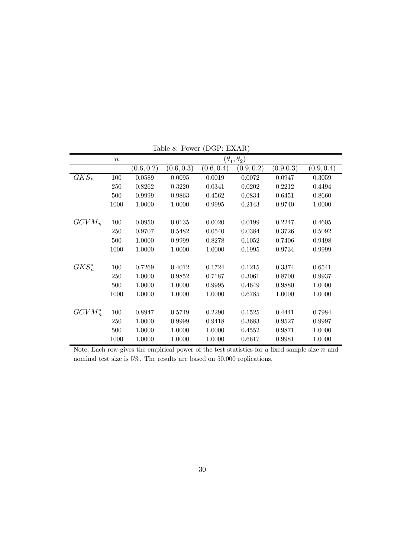|            | $\boldsymbol{n}$ |            |            |            | $(\theta_1, \theta_2)$ |           |            |
|------------|------------------|------------|------------|------------|------------------------|-----------|------------|
|            |                  | (0.6, 0.2) | (0.6, 0.3) | (0.6, 0.4) | (0.9, 0.2)             | (0.9.0.3) | (0.9, 0.4) |
| $GKS_n$    | 100              | 0.0589     | 0.0095     | 0.0019     | 0.0072                 | 0.0947    | 0.3059     |
|            | 250              | 0.8262     | 0.3220     | 0.0341     | 0.0202                 | 0.2212    | 0.4494     |
|            | 500              | 0.9999     | 0.9863     | 0.4562     | 0.0834                 | 0.6451    | 0.8660     |
|            | 1000             | 1.0000     | 1.0000     | 0.9995     | 0.2143                 | 0.9740    | 1.0000     |
|            |                  |            |            |            |                        |           |            |
| $GCVM_n$   | 100              | 0.0950     | 0.0135     | 0.0020     | 0.0199                 | 0.2247    | 0.4605     |
|            | 250              | 0.9707     | 0.5482     | 0.0540     | 0.0384                 | 0.3726    | 0.5092     |
|            | 500              | 1.0000     | 0.9999     | 0.8278     | 0.1052                 | 0.7406    | 0.9498     |
|            | 1000             | 1.0000     | 1.0000     | 1.0000     | 0.1995                 | 0.9734    | 0.9999     |
|            |                  |            |            |            |                        |           |            |
| $GKS_n^*$  | 100              | 0.7269     | 0.4012     | 0.1724     | 0.1215                 | 0.3374    | 0.6541     |
|            | 250              | 1.0000     | 0.9852     | 0.7187     | 0.3061                 | 0.8700    | 0.9937     |
|            | 500              | 1.0000     | 1.0000     | 0.9995     | 0.4649                 | 0.9880    | 1.0000     |
|            | 1000             | 1.0000     | 1.0000     | 1.0000     | 0.6785                 | 1.0000    | 1.0000     |
|            |                  |            |            |            |                        |           |            |
| $GCVM_n^*$ | 100              | 0.8947     | 0.5749     | 0.2290     | 0.1525                 | 0.4441    | 0.7984     |
|            | 250              | 1.0000     | 0.9999     | 0.9418     | 0.3683                 | 0.9527    | 0.9997     |
|            | 500              | 1.0000     | 1.0000     | 1.0000     | 0.4552                 | 0.9871    | 1.0000     |
|            | 1000             | 1.0000     | 1.0000     | 1.0000     | 0.6617                 | 0.9981    | 1.0000     |

Table 8: Power (DGP: EXAR)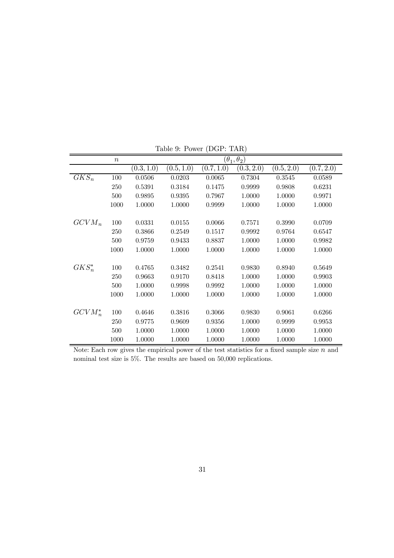|            | $\boldsymbol{n}$ |            |            |            | $(\theta_1,\theta_2)$ |            |            |
|------------|------------------|------------|------------|------------|-----------------------|------------|------------|
|            |                  | (0.3, 1.0) | (0.5, 1.0) | (0.7, 1.0) | (0.3, 2.0)            | (0.5, 2.0) | (0.7, 2.0) |
| $GKS_n$    | 100              | 0.0506     | 0.0203     | 0.0065     | 0.7304                | 0.3545     | 0.0589     |
|            | 250              | 0.5391     | 0.3184     | 0.1475     | 0.9999                | 0.9808     | 0.6231     |
|            | 500              | 0.9895     | 0.9395     | 0.7967     | 1.0000                | 1.0000     | 0.9971     |
|            | 1000             | 1.0000     | 1.0000     | 0.9999     | 1.0000                | 1.0000     | 1.0000     |
|            |                  |            |            |            |                       |            |            |
| $GCVM_n$   | 100              | 0.0331     | 0.0155     | 0.0066     | 0.7571                | 0.3990     | 0.0709     |
|            | 250              | 0.3866     | 0.2549     | 0.1517     | 0.9992                | 0.9764     | 0.6547     |
|            | 500              | 0.9759     | 0.9433     | 0.8837     | 1.0000                | 1.0000     | 0.9982     |
|            | 1000             | 1.0000     | 1.0000     | 1.0000     | 1.0000                | 1.0000     | 1.0000     |
|            |                  |            |            |            |                       |            |            |
| $GKS_n^*$  | 100              | 0.4765     | 0.3482     | 0.2541     | 0.9830                | 0.8940     | 0.5649     |
|            | 250              | 0.9663     | 0.9170     | 0.8418     | 1.0000                | 1.0000     | 0.9903     |
|            | 500              | 1.0000     | 0.9998     | 0.9992     | 1.0000                | 1.0000     | 1.0000     |
|            | 1000             | 1.0000     | 1.0000     | 1.0000     | 1.0000                | 1.0000     | 1.0000     |
|            |                  |            |            |            |                       |            |            |
| $GCVM_n^*$ | 100              | 0.4646     | 0.3816     | 0.3066     | 0.9830                | 0.9061     | 0.6266     |
|            | 250              | 0.9775     | 0.9609     | 0.9356     | 1.0000                | 0.9999     | 0.9953     |
|            | 500              | 1.0000     | 1.0000     | 1.0000     | 1.0000                | 1.0000     | 1.0000     |
|            | 1000             | 1.0000     | 1.0000     | 1.0000     | 1.0000                | 1.0000     | 1.0000     |

Table 9: Power (DGP: TAR)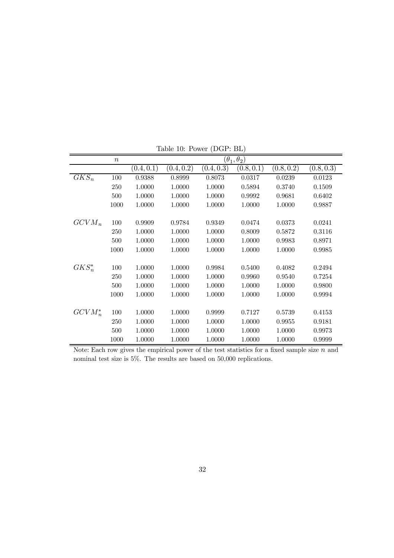|            | $\, n$ |            |            |            | $(\theta_1, \theta_2)$ |            |            |
|------------|--------|------------|------------|------------|------------------------|------------|------------|
|            |        | (0.4, 0.1) | (0.4, 0.2) | (0.4, 0.3) | (0.8, 0.1)             | (0.8, 0.2) | (0.8, 0.3) |
| $GKS_n$    | 100    | 0.9388     | 0.8999     | 0.8073     | 0.0317                 | 0.0239     | 0.0123     |
|            | 250    | 1.0000     | 1.0000     | 1.0000     | 0.5894                 | 0.3740     | 0.1509     |
|            | 500    | 1.0000     | 1.0000     | 1.0000     | 0.9992                 | 0.9681     | 0.6402     |
|            | 1000   | 1.0000     | 1.0000     | 1.0000     | 1.0000                 | 1.0000     | 0.9887     |
|            |        |            |            |            |                        |            |            |
| $GCVM_n$   | 100    | 0.9909     | 0.9784     | 0.9349     | 0.0474                 | 0.0373     | 0.0241     |
|            | 250    | 1.0000     | 1.0000     | 1.0000     | 0.8009                 | 0.5872     | 0.3116     |
|            | 500    | 1.0000     | 1.0000     | 1.0000     | 1.0000                 | 0.9983     | 0.8971     |
|            | 1000   | 1.0000     | 1.0000     | 1.0000     | 1.0000                 | 1.0000     | 0.9985     |
|            |        |            |            |            |                        |            |            |
| $GKS_n^*$  | 100    | 1.0000     | 1.0000     | 0.9984     | 0.5400                 | 0.4082     | 0.2494     |
|            | 250    | 1.0000     | 1.0000     | 1.0000     | 0.9960                 | 0.9540     | 0.7254     |
|            | 500    | 1.0000     | 1.0000     | 1.0000     | 1.0000                 | 1.0000     | 0.9800     |
|            | 1000   | 1.0000     | 1.0000     | 1.0000     | 1.0000                 | 1.0000     | 0.9994     |
|            |        |            |            |            |                        |            |            |
| $GCVM_n^*$ | 100    | 1.0000     | 1.0000     | 0.9999     | 0.7127                 | 0.5739     | 0.4153     |
|            | 250    | 1.0000     | 1.0000     | 1.0000     | 1.0000                 | 0.9955     | 0.9181     |
|            | 500    | 1.0000     | 1.0000     | 1.0000     | 1.0000                 | 1.0000     | 0.9973     |
|            | 1000   | 1.0000     | 1.0000     | 1.0000     | 1.0000                 | 1.0000     | 0.9999     |

Table 10: Power (DGP: BL)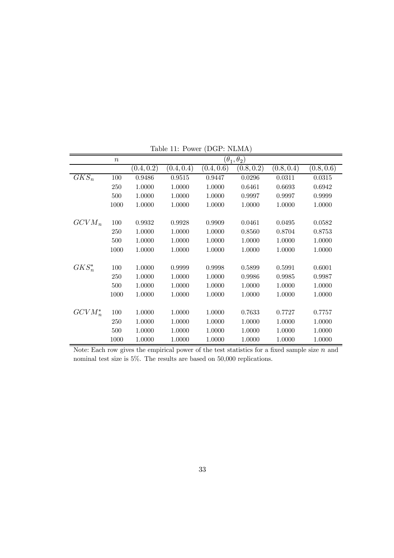|            | $\boldsymbol{n}$ |            |            |            | $(\theta_1, \theta_2)$ |            |            |
|------------|------------------|------------|------------|------------|------------------------|------------|------------|
|            |                  | (0.4, 0.2) | (0.4, 0.4) | (0.4, 0.6) | (0.8, 0.2)             | (0.8, 0.4) | (0.8, 0.6) |
| $GKS_n$    | 100              | 0.9486     | 0.9515     | 0.9447     | 0.0296                 | 0.0311     | 0.0315     |
|            | 250              | 1.0000     | 1.0000     | 1.0000     | 0.6461                 | 0.6693     | 0.6942     |
|            | 500              | 1.0000     | 1.0000     | 1.0000     | 0.9997                 | 0.9997     | 0.9999     |
|            | 1000             | 1.0000     | 1.0000     | 1.0000     | 1.0000                 | 1.0000     | 1.0000     |
|            |                  |            |            |            |                        |            |            |
| $GCVM_n$   | 100              | 0.9932     | 0.9928     | 0.9909     | 0.0461                 | 0.0495     | 0.0582     |
|            | 250              | 1.0000     | 1.0000     | 1.0000     | 0.8560                 | 0.8704     | 0.8753     |
|            | 500              | 1.0000     | 1.0000     | 1.0000     | 1.0000                 | 1.0000     | 1.0000     |
|            | 1000             | 1.0000     | 1.0000     | 1.0000     | 1.0000                 | 1.0000     | 1.0000     |
|            |                  |            |            |            |                        |            |            |
| $GKS_n^*$  | 100              | 1.0000     | 0.9999     | 0.9998     | 0.5899                 | 0.5991     | 0.6001     |
|            | 250              | 1.0000     | 1.0000     | 1.0000     | 0.9986                 | 0.9985     | 0.9987     |
|            | 500              | 1.0000     | 1.0000     | 1.0000     | 1.0000                 | 1.0000     | 1.0000     |
|            | 1000             | 1.0000     | 1.0000     | 1.0000     | 1.0000                 | 1.0000     | 1.0000     |
|            |                  |            |            |            |                        |            |            |
| $GCVM_n^*$ | 100              | 1.0000     | 1.0000     | 1.0000     | 0.7633                 | 0.7727     | 0.7757     |
|            | 250              | 1.0000     | 1.0000     | 1.0000     | 1.0000                 | 1.0000     | 1.0000     |
|            | 500              | 1.0000     | 1.0000     | 1.0000     | 1.0000                 | 1.0000     | 1.0000     |
|            | 1000             | 1.0000     | 1.0000     | 1.0000     | 1.0000                 | 1.0000     | 1.0000     |

Table 11: Power (DGP: NLMA)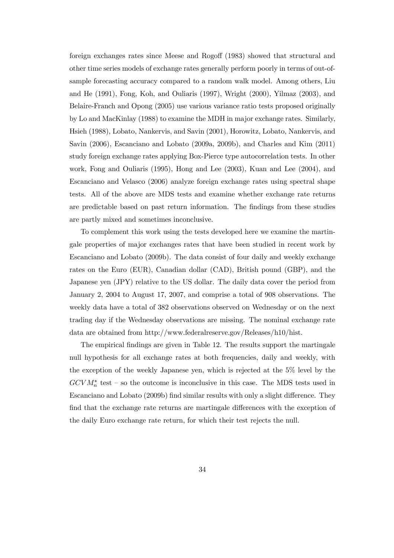foreign exchanges rates since Meese and Rogoff (1983) showed that structural and other time series models of exchange rates generally perform poorly in terms of out-ofsample forecasting accuracy compared to a random walk model. Among others, Liu and He (1991), Fong, Koh, and Ouliaris (1997), Wright (2000), Yilmaz (2003), and Belaire-Franch and Opong (2005) use various variance ratio tests proposed originally by Lo and MacKinlay (1988) to examine the MDH in major exchange rates. Similarly, Hsieh (1988), Lobato, Nankervis, and Savin (2001), Horowitz, Lobato, Nankervis, and Savin (2006), Escanciano and Lobato (2009a, 2009b), and Charles and Kim (2011) study foreign exchange rates applying Box-Pierce type autocorrelation tests. In other work, Fong and Ouliaris (1995), Hong and Lee (2003), Kuan and Lee (2004), and Escanciano and Velasco (2006) analyze foreign exchange rates using spectral shape tests. All of the above are MDS tests and examine whether exchange rate returns are predictable based on past return information. The findings from these studies are partly mixed and sometimes inconclusive.

To complement this work using the tests developed here we examine the martingale properties of major exchanges rates that have been studied in recent work by Escanciano and Lobato (2009b). The data consist of four daily and weekly exchange rates on the Euro (EUR), Canadian dollar (CAD), British pound (GBP), and the Japanese yen (JPY) relative to the US dollar. The daily data cover the period from January 2, 2004 to August 17, 2007, and comprise a total of 908 observations. The weekly data have a total of 382 observations observed on Wednesday or on the next trading day if the Wednesday observations are missing. The nominal exchange rate data are obtained from http://www.federalreserve.gov/Releases/h10/hist.

The empirical findings are given in Table 12. The results support the martingale null hypothesis for all exchange rates at both frequencies, daily and weekly, with the exception of the weekly Japanese yen, which is rejected at the 5% level by the  $GCVM_n^*$  test – so the outcome is inconclusive in this case. The MDS tests used in Escanciano and Lobato (2009b) find similar results with only a slight difference. They find that the exchange rate returns are martingale differences with the exception of the daily Euro exchange rate return, for which their test rejects the null.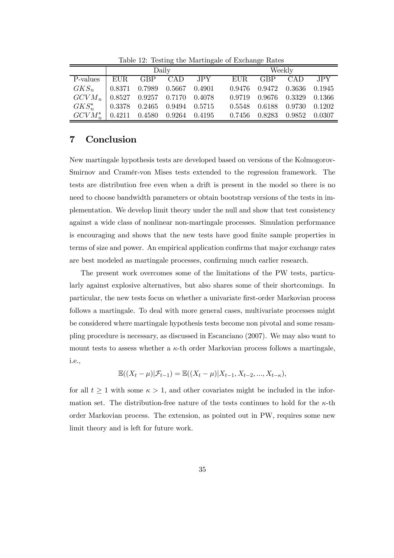|                                              |      |                                     | Daily   |       |        | Weekly                      |       |
|----------------------------------------------|------|-------------------------------------|---------|-------|--------|-----------------------------|-------|
| P-values                                     | EUR. |                                     | GBP CAD | JPY J | EUR.   | GBP CAD                     | JPY . |
| $GKS_n$                                      |      | $0.8371$ $0.7989$ $0.5667$ $0.4901$ |         |       | 0.9476 | 0.9472 0.3636 0.1945        |       |
| $GCVM_n$   0.8527 0.9257 0.7170 0.4078       |      |                                     |         |       | 0.9719 | $0.9676$ $0.3329$ $0.1366$  |       |
| $GKS_{n}^*$   0.3378 0.2465 0.9494 0.5715    |      |                                     |         |       | 0.5548 | $0.6188$ $0.9730$ $0.1202$  |       |
| $GCVM_{n}^{*}$   0.4211 0.4580 0.9264 0.4195 |      |                                     |         |       |        | 0.7456 0.8283 0.9852 0.0307 |       |

Table 12: Testing the Martingale of Exchange Rates

## 7 Conclusion

New martingale hypothesis tests are developed based on versions of the Kolmogorov-Smirnov and Cramér-von Mises tests extended to the regression framework. The tests are distribution free even when a drift is present in the model so there is no need to choose bandwidth parameters or obtain bootstrap versions of the tests in implementation. We develop limit theory under the null and show that test consistency against a wide class of nonlinear non-martingale processes. Simulation performance is encouraging and shows that the new tests have good finite sample properties in terms of size and power. An empirical application confirms that major exchange rates are best modeled as martingale processes, confirming much earlier research.

The present work overcomes some of the limitations of the PW tests, particularly against explosive alternatives, but also shares some of their shortcomings. In particular, the new tests focus on whether a univariate first-order Markovian process follows a martingale. To deal with more general cases, multivariate processes might be considered where martingale hypothesis tests become non pivotal and some resampling procedure is necessary, as discussed in Escanciano (2007). We may also want to mount tests to assess whether a  $\kappa$ -th order Markovian process follows a martingale, i.e.,

$$
\mathbb{E}((X_t - \mu)|\mathcal{F}_{t-1}) = \mathbb{E}((X_t - \mu)|X_{t-1}, X_{t-2}, ..., X_{t-\kappa}),
$$

for all  $t \geq 1$  with some  $\kappa > 1$ , and other covariates might be included in the information set. The distribution-free nature of the tests continues to hold for the  $\kappa$ -th order Markovian process. The extension, as pointed out in PW, requires some new limit theory and is left for future work.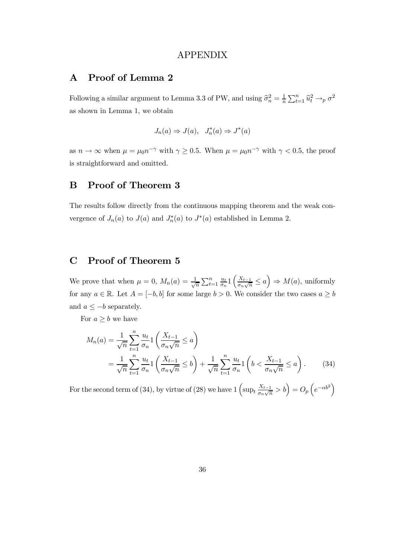### APPENDIX

## A Proof of Lemma 2

Following a similar argument to Lemma 3.3 of PW, and using  $\hat{\sigma}_n^2 = \frac{1}{n} \sum_{t=1}^n \hat{u}_t^2 \rightarrow_p \sigma^2$ as shown in Lemma 1, we obtain

$$
J_n(a) \Rightarrow J(a), J_n^*(a) \Rightarrow J^*(a)
$$

as  $n \to \infty$  when  $\mu = \mu_0 n^{-\gamma}$  with  $\gamma \ge 0.5$ . When  $\mu = \mu_0 n^{-\gamma}$  with  $\gamma < 0.5$ , the proof is straightforward and omitted.

## B Proof of Theorem 3

The results follow directly from the continuous mapping theorem and the weak convergence of  $J_n(a)$  to  $J(a)$  and  $J_n^*(a)$  to  $J^*(a)$  established in Lemma 2.

# C Proof of Theorem 5

We prove that when  $\mu = 0$ ,  $M_n(a) = \frac{1}{\sqrt{a}}$  $\frac{1}{n} \sum_{t=1}^n \frac{u_t}{\sigma_n}$  $\frac{u_t}{\sigma_n} 1$   $\left( \frac{X_{t-1}}{\sigma_n \sqrt{n}} \right)$  $\frac{X_{t-1}}{\sigma_n\sqrt{n}} \le a$   $\Rightarrow M(a)$ , uniformly for any  $a \in \mathbb{R}$ . Let  $A = [-b, b]$  for some large  $b > 0$ . We consider the two cases  $a \ge b$ and  $a \leq -b$  separately.

For  $a \geq b$  we have

$$
M_n(a) = \frac{1}{\sqrt{n}} \sum_{t=1}^n \frac{u_t}{\sigma_n} \left( \frac{X_{t-1}}{\sigma_n \sqrt{n}} \le a \right)
$$
  
= 
$$
\frac{1}{\sqrt{n}} \sum_{t=1}^n \frac{u_t}{\sigma_n} \left( \frac{X_{t-1}}{\sigma_n \sqrt{n}} \le b \right) + \frac{1}{\sqrt{n}} \sum_{t=1}^n \frac{u_t}{\sigma_n} \left( b < \frac{X_{t-1}}{\sigma_n \sqrt{n}} \le a \right).
$$
 (34)

For the second term of (34), by virtue of (28) we have  $1 \left( \sup_t \frac{X_{t-1}}{\sigma_n \sqrt{n}} \right)$  $\left(\frac{X_{t-1}}{\sigma_n\sqrt{n}} > b\right) = O_p\left(e^{-\alpha b^2}\right)$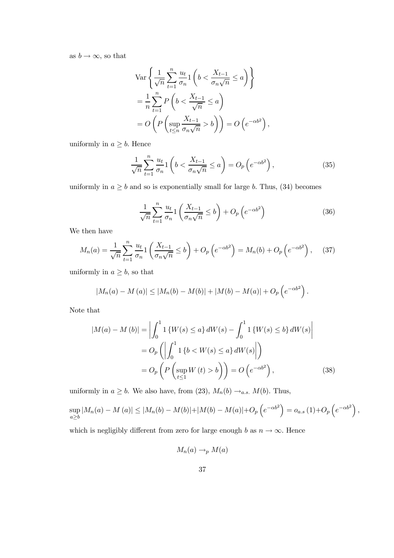as  $b \to \infty$ , so that

$$
\operatorname{Var}\left\{\frac{1}{\sqrt{n}}\sum_{t=1}^{n}\frac{u_t}{\sigma_n}1\left(b < \frac{X_{t-1}}{\sigma_n\sqrt{n}} \le a\right)\right\}
$$
\n
$$
= \frac{1}{n}\sum_{t=1}^{n} P\left(b < \frac{X_{t-1}}{\sqrt{n}} \le a\right)
$$
\n
$$
= O\left(P\left(\sup_{t\le n}\frac{X_{t-1}}{\sigma_n\sqrt{n}} > b\right)\right) = O\left(e^{-\alpha b^2}\right),
$$

uniformly in  $a \geq b$ . Hence

$$
\frac{1}{\sqrt{n}} \sum_{t=1}^{n} \frac{u_t}{\sigma_n} 1\left(b < \frac{X_{t-1}}{\sigma_n \sqrt{n}} \le a\right) = O_p\left(e^{-\alpha b^2}\right),\tag{35}
$$

uniformly in  $a \ge b$  and so is exponentially small for large b. Thus, (34) becomes

$$
\frac{1}{\sqrt{n}} \sum_{t=1}^{n} \frac{u_t}{\sigma_n} \left( \frac{X_{t-1}}{\sigma_n \sqrt{n}} \le b \right) + O_p\left(e^{-\alpha b^2}\right) \tag{36}
$$

We then have

$$
M_n(a) = \frac{1}{\sqrt{n}} \sum_{t=1}^n \frac{u_t}{\sigma_n} \left( \frac{X_{t-1}}{\sigma_n \sqrt{n}} \le b \right) + O_p\left(e^{-\alpha b^2}\right) = M_n(b) + O_p\left(e^{-\alpha b^2}\right), \quad (37)
$$

uniformly in  $a \geq b$ , so that

$$
|M_n(a) - M(a)| \le |M_n(b) - M(b)| + |M(b) - M(a)| + O_p(e^{-\alpha b^2}).
$$

Note that

$$
|M(a) - M(b)| = \left| \int_0^1 1 \left\{ W(s) \le a \right\} dW(s) - \int_0^1 1 \left\{ W(s) \le b \right\} dW(s) \right|
$$
  
=  $O_p \left( \left| \int_0^1 1 \left\{ b < W(s) \le a \right\} dW(s) \right| \right)$   
=  $O_p \left( P \left( \sup_{t \le 1} W(t) > b \right) \right) = O \left( e^{-\alpha b^2} \right),$  (38)

uniformly in  $a \geq b$ . We also have, from (23),  $M_n(b) \rightarrow_{a.s.} M(b)$ . Thus,

$$
\sup_{a \ge b} |M_n(a) - M(a)| \le |M_n(b) - M(b)| + |M(b) - M(a)| + O_p(e^{-\alpha b^2}) = o_{a.s.}(1) + O_p(e^{-\alpha b^2}),
$$

which is negligibly different from zero for large enough b as  $n \to \infty$ . Hence

$$
M_n(a) \to_p M(a)
$$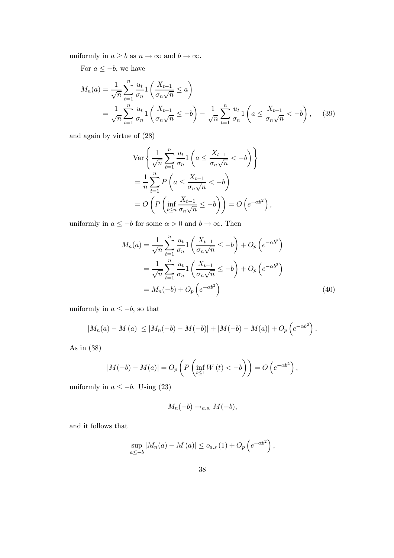uniformly in  $a \geq b$  as  $n \to \infty$  and  $b \to \infty$ .

For  $a \leq -b$ , we have

$$
M_n(a) = \frac{1}{\sqrt{n}} \sum_{t=1}^n \frac{u_t}{\sigma_n} \left( \frac{X_{t-1}}{\sigma_n \sqrt{n}} \le a \right)
$$
  
= 
$$
\frac{1}{\sqrt{n}} \sum_{t=1}^n \frac{u_t}{\sigma_n} \left( \frac{X_{t-1}}{\sigma_n \sqrt{n}} \le -b \right) - \frac{1}{\sqrt{n}} \sum_{t=1}^n \frac{u_t}{\sigma_n} \left( a \le \frac{X_{t-1}}{\sigma_n \sqrt{n}} < -b \right), \quad (39)
$$

and again by virtue of (28)

$$
\operatorname{Var}\left\{\frac{1}{\sqrt{n}}\sum_{t=1}^{n}\frac{u_t}{\sigma_n}1\left(a\leq\frac{X_{t-1}}{\sigma_n\sqrt{n}}<-b\right)\right\}
$$

$$
=\frac{1}{n}\sum_{t=1}^{n}P\left(a\leq\frac{X_{t-1}}{\sigma_n\sqrt{n}}<-b\right)
$$

$$
=O\left(P\left(\inf_{t\leq n}\frac{X_{t-1}}{\sigma_n\sqrt{n}}\leq-b\right)\right)=O\left(e^{-\alpha b^2}\right),
$$

uniformly in  $a\leq -b$  for some  $\alpha>0$  and  $b\to\infty.$  Then

$$
M_n(a) = \frac{1}{\sqrt{n}} \sum_{t=1}^n \frac{u_t}{\sigma_n} \left( \frac{X_{t-1}}{\sigma_n \sqrt{n}} \le -b \right) + O_p\left(e^{-\alpha b^2}\right)
$$
  

$$
= \frac{1}{\sqrt{n}} \sum_{t=1}^n \frac{u_t}{\sigma_n} \left( \frac{X_{t-1}}{\sigma_n \sqrt{n}} \le -b \right) + O_p\left(e^{-\alpha b^2}\right)
$$
  

$$
= M_n(-b) + O_p\left(e^{-\alpha b^2}\right)
$$
(40)

uniformly in  $a \leq -b$ , so that

$$
|M_n(a) - M(a)| \le |M_n(-b) - M(-b)| + |M(-b) - M(a)| + O_p(e^{-\alpha b^2}).
$$

As in (38)

$$
|M(-b) - M(a)| = O_p\left(P\left(\inf_{t \le 1} W(t) < -b\right)\right) = O\left(e^{-\alpha b^2}\right),
$$

uniformly in  $a \leq -b$ . Using (23)

$$
M_n(-b) \to_{a.s.} M(-b),
$$

and it follows that

$$
\sup_{a\leq -b} |M_n(a) - M(a)| \leq o_{a.s.}(1) + O_p\left(e^{-\alpha b^2}\right),
$$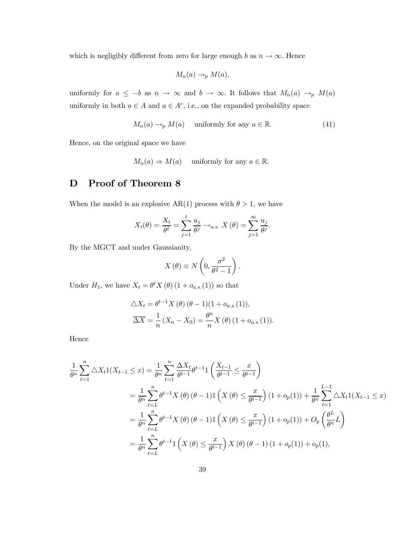which is negligibly different from zero for large enough b as  $n \to \infty$ . Hence

$$
M_n(a) \to_p M(a),
$$

uniformly for  $a \leq -b$  as  $n \to \infty$  and  $b \to \infty$ . It follows that  $M_n(a) \to_p M(a)$ uniformly in both  $a \in A$  and  $a \in A^c$ , i.e., on the expanded probability space

$$
M_n(a) \to_p M(a)
$$
 uniformly for any  $a \in \mathbb{R}$ . (41)

Hence, on the original space we have

 $M_n(a) \Rightarrow M(a)$  uniformly for any  $a \in \mathbb{R}$ .

# D Proof of Theorem 8

When the model is an explosive AR(1) process with  $\theta > 1$ , we have

$$
X_t(\theta) = \frac{X_t}{\theta^t} = \sum_{j=1}^t \frac{u_j}{\theta^j} \rightarrow_{a.s.} X(\theta) = \sum_{j=1}^\infty \frac{u_j}{\theta^j}.
$$

By the MGCT and under Gaussianity,

$$
X(\theta) \equiv N\left(0, \frac{\sigma^2}{\theta^2 - 1}\right).
$$

Under  $H_1$ , we have  $X_t = \theta^t X(\theta) (1 + o_{a.s.}(1))$  so that

$$
\Delta X_t = \theta^{t-1} X(\theta) (\theta - 1)(1 + o_{a.s.}(1)),
$$
  

$$
\overline{\Delta X} = \frac{1}{n} (X_n - X_0) = \frac{\theta^n}{n} X(\theta) (1 + o_{a.s.}(1)).
$$

Hence

$$
\frac{1}{\theta^n} \sum_{t=1}^n \Delta X_t \mathbf{1}(X_{t-1} \le x) = \frac{1}{\theta^n} \sum_{t=1}^n \frac{\Delta X_t}{\theta^{t-1}} \theta^{t-1} \mathbf{1}\left(\frac{X_{t-1}}{\theta^{t-1}} \le \frac{x}{\theta^{t-1}}\right)
$$
\n
$$
= \frac{1}{\theta^n} \sum_{t=1}^n \theta^{t-1} X(\theta) (\theta - 1) \mathbf{1}\left(X(\theta) \le \frac{x}{\theta^{t-1}}\right) (1 + o_p(1)) + \frac{1}{\theta^n} \sum_{t=1}^{L-1} \Delta X_t \mathbf{1}(X_{t-1} \le x)
$$
\n
$$
= \frac{1}{\theta^n} \sum_{t=L}^n \theta^{t-1} X(\theta) (\theta - 1) \mathbf{1}\left(X(\theta) \le \frac{x}{\theta^{t-1}}\right) (1 + o_p(1)) + O_p\left(\frac{\theta^L}{\theta^n} L\right)
$$
\n
$$
= \frac{1}{\theta^n} \sum_{t=L}^n \theta^{t-1} \mathbf{1}\left(X(\theta) \le \frac{x}{\theta^{t-1}}\right) X(\theta) (\theta - 1) (1 + o_p(1)) + o_p(1),
$$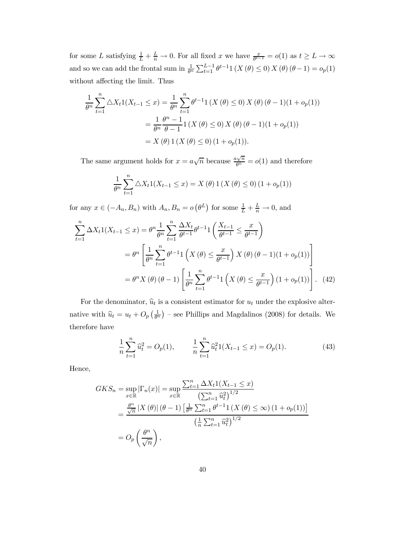for some L satisfying  $\frac{1}{L} + \frac{L}{n} \to 0$ . For all fixed x we have  $\frac{x}{\theta^{t-1}} = o(1)$  as  $t \ge L \to \infty$ and so we can add the frontal sum in  $\frac{1}{\theta^n} \sum_{t=1}^{L-1} \theta^{t-1} 1(X(\theta) \le 0) X(\theta) (\theta - 1) = o_p(1)$ without affecting the limit. Thus

$$
\frac{1}{\theta^n} \sum_{t=1}^n \Delta X_t 1(X_{t-1} \le x) = \frac{1}{\theta^n} \sum_{t=1}^n \theta^{t-1} 1(X(\theta) \le 0) X(\theta) (\theta - 1)(1 + o_p(1))
$$
  
= 
$$
\frac{1}{\theta^n} \frac{\theta^n - 1}{\theta - 1} 1(X(\theta) \le 0) X(\theta) (\theta - 1)(1 + o_p(1))
$$
  
= 
$$
X(\theta) 1(X(\theta) \le 0) (1 + o_p(1)).
$$

The same argument holds for  $x = a\sqrt{n}$  because  $\frac{a\sqrt{n}}{b^L} = o(1)$  and therefore

$$
\frac{1}{\theta^n} \sum_{t=1}^n \Delta X_t \mathbb{1}(X_{t-1} \le x) = X(\theta) \mathbb{1}(X(\theta) \le 0) (1 + o_p(1))
$$

for any  $x \in (-A_n, B_n)$  with  $A_n, B_n = o(\theta^L)$  for some  $\frac{1}{L} + \frac{L}{n} \to 0$ , and

$$
\sum_{t=1}^{n} \Delta X_t 1(X_{t-1} \le x) = \theta^n \frac{1}{\theta^n} \sum_{t=1}^{n} \frac{\Delta X_t}{\theta^{t-1}} \theta^{t-1} 1\left(\frac{X_{t-1}}{\theta^{t-1}} \le \frac{x}{\theta^{t-1}}\right)
$$
  
= 
$$
\theta^n \left[ \frac{1}{\theta^n} \sum_{t=1}^{n} \theta^{t-1} 1\left(X(\theta) \le \frac{x}{\theta^{t-1}}\right) X(\theta) (\theta - 1)(1 + o_p(1)) \right]
$$
  
= 
$$
\theta^n X(\theta) (\theta - 1) \left[ \frac{1}{\theta^n} \sum_{t=1}^{n} \theta^{t-1} 1\left(X(\theta) \le \frac{x}{\theta^{t-1}}\right) (1 + o_p(1)) \right]. \quad (42)
$$

For the denominator,  $\hat{u}_t$  is a consistent estimator for  $u_t$  under the explosive alternative with  $\hat{u}_t = u_t + O_p\left(\frac{1}{\theta^n}\right)$  – see Phillips and Magdalinos (2008) for details. We therefore have

$$
\frac{1}{n}\sum_{t=1}^{n}\hat{u}_t^2 = O_p(1), \qquad \frac{1}{n}\sum_{t=1}^{n}\hat{u}_t^2 1(X_{t-1} \le x) = O_p(1). \tag{43}
$$

Hence,

$$
GKS_n = \sup_{x \in \mathbb{R}} |\Gamma_n(x)| = \sup_{x \in \mathbb{R}} \frac{\sum_{t=1}^n \Delta X_t 1(X_{t-1} \le x)}{\left(\sum_{t=1}^n \hat{u}_t^2\right)^{1/2}} = \frac{\frac{\theta^n}{\sqrt{n}} |X(\theta)| (\theta - 1) \left[\frac{1}{\theta^n} \sum_{t=1}^n \theta^{t-1} 1(X(\theta) \le \infty) (1 + o_p(1))\right]}{\left(\frac{1}{n} \sum_{t=1}^n \hat{u}_t^2\right)^{1/2}} = O_p\left(\frac{\theta^n}{\sqrt{n}}\right),
$$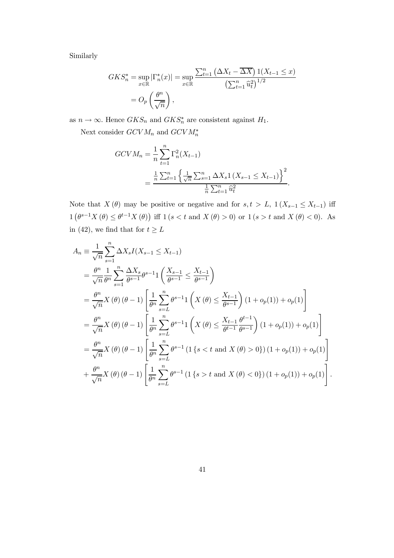Similarly

$$
GKS_n^* = \sup_{x \in \mathbb{R}} |\Gamma_n^*(x)| = \sup_{x \in \mathbb{R}} \frac{\sum_{t=1}^n (\Delta X_t - \overline{\Delta X}) \, 1(X_{t-1} \le x)}{\left(\sum_{t=1}^n \widehat{u}_t^2\right)^{1/2}}
$$

$$
= O_p\left(\frac{\theta^n}{\sqrt{n}}\right),
$$

as  $n \to \infty$ . Hence  $GKS_n$  and  $GKS_n^*$  are consistent against  $H_1$ .

Next consider  $GCVM_n$  and  $GCVM_n^*$ 

$$
GCVM_n = \frac{1}{n} \sum_{t=1}^n \Gamma_n^2(X_{t-1})
$$
  
= 
$$
\frac{\frac{1}{n} \sum_{t=1}^n \left\{ \frac{1}{\sqrt{n}} \sum_{s=1}^n \Delta X_s \mathbb{1}(X_{s-1} \le X_{t-1}) \right\}^2}{\frac{1}{n} \sum_{t=1}^n \widehat{u}_t^2}.
$$

Note that  $X(\theta)$  may be positive or negative and for  $s, t > L$ ,  $1(X_{s-1} \leq X_{t-1})$  iff  $1\left(\theta^{s-1}X(\theta) \leq \theta^{t-1}X(\theta)\right)$  iff  $1\left(s < t \text{ and } X(\theta) > 0\right)$  or  $1\left(s > t \text{ and } X(\theta) < 0\right)$ . As in (42), we find that for  $t \geq L$ 

$$
A_{n} = \frac{1}{\sqrt{n}} \sum_{s=1}^{n} \Delta X_{s} I(X_{s-1} \leq X_{t-1})
$$
  
\n
$$
= \frac{\theta^{n}}{\sqrt{n}} \frac{1}{\theta^{n}} \sum_{s=1}^{n} \frac{\Delta X_{s}}{\theta^{s-1}} \theta^{s-1} \left( \frac{X_{s-1}}{\theta^{s-1}} \leq \frac{X_{t-1}}{\theta^{s-1}} \right)
$$
  
\n
$$
= \frac{\theta^{n}}{\sqrt{n}} X(\theta) (\theta - 1) \left[ \frac{1}{\theta^{n}} \sum_{s=L}^{n} \theta^{s-1} \left( X(\theta) \leq \frac{X_{t-1}}{\theta^{s-1}} \right) (1 + o_{p}(1)) + o_{p}(1) \right]
$$
  
\n
$$
= \frac{\theta^{n}}{\sqrt{n}} X(\theta) (\theta - 1) \left[ \frac{1}{\theta^{n}} \sum_{s=L}^{n} \theta^{s-1} \left( X(\theta) \leq \frac{X_{t-1}}{\theta^{t-1}} \frac{\theta^{t-1}}{\theta^{s-1}} \right) (1 + o_{p}(1)) + o_{p}(1) \right]
$$
  
\n
$$
= \frac{\theta^{n}}{\sqrt{n}} X(\theta) (\theta - 1) \left[ \frac{1}{\theta^{n}} \sum_{s=L}^{n} \theta^{s-1} (1 \{s < t \text{ and } X(\theta) > 0\}) (1 + o_{p}(1)) + o_{p}(1) \right]
$$
  
\n
$$
+ \frac{\theta^{n}}{\sqrt{n}} X(\theta) (\theta - 1) \left[ \frac{1}{\theta^{n}} \sum_{s=L}^{n} \theta^{s-1} (1 \{s > t \text{ and } X(\theta) < 0\}) (1 + o_{p}(1)) + o_{p}(1) \right].
$$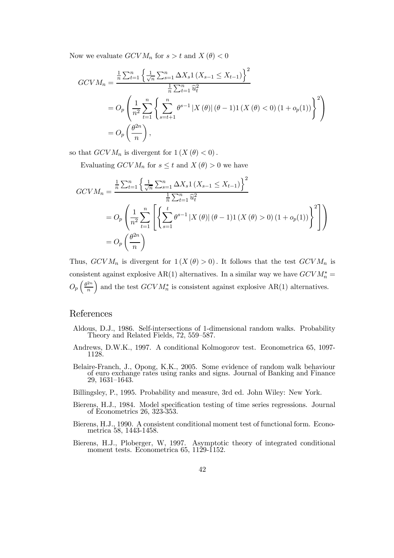Now we evaluate  $GCVM_n$  for  $s > t$  and  $X(\theta) < 0$ 

$$
GCVM_n = \frac{\frac{1}{n}\sum_{t=1}^n \left\{ \frac{1}{\sqrt{n}} \sum_{s=1}^n \Delta X_s 1 (X_{s-1} \le X_{t-1}) \right\}^2}{\frac{1}{n}\sum_{t=1}^n \hat{u}_t^2}
$$
  
=  $O_p \left( \frac{1}{n^2} \sum_{t=1}^n \left\{ \sum_{s=t+1}^n \theta^{s-1} |X(\theta)| (\theta - 1) 1 (X(\theta) < 0) (1 + o_p(1)) \right\}^2 \right)$   
=  $O_p \left( \frac{\theta^{2n}}{n} \right)$ ,

so that  $GCVM_n$  is divergent for  $1 (X (\theta) < 0)$ .

Evaluating  $GCVM_n$  for  $s \leq t$  and  $X(\theta) > 0$  we have

$$
GCVM_n = \frac{\frac{1}{n} \sum_{t=1}^n \left\{ \frac{1}{\sqrt{n}} \sum_{s=1}^n \Delta X_s \mathbb{1} \left( X_{s-1} \le X_{t-1} \right) \right\}^2}{\frac{1}{n} \sum_{t=1}^n \widehat{u}_t^2}
$$
  
= 
$$
O_p \left( \frac{1}{n^2} \sum_{t=1}^n \left[ \left\{ \sum_{s=1}^t \theta^{s-1} |X(\theta)| (\theta - 1) \mathbb{1} \left( X(\theta) > 0 \right) (1 + o_p(1)) \right\}^2 \right] \right)
$$
  
= 
$$
O_p \left( \frac{\theta^{2n}}{n} \right)
$$

Thus,  $GCVM_n$  is divergent for  $1(X(\theta) > 0)$ . It follows that the test  $GCVM_n$  is consistent against explosive AR(1) alternatives. In a similar way we have  $GCVM_n^* =$  $O_p\left(\frac{\theta^{2n}}{n}\right)$ n ) and the test  $GCVM_n^*$  is consistent against explosive AR(1) alternatives.

### References

- Aldous, D.J., 1986. Self-intersections of 1-dimensional random walks. Probability Theory and Related Fields, 72, 559—587.
- Andrews, D.W.K., 1997. A conditional Kolmogorov test. Econometrica 65, 1097- 1128.
- Belaire-Franch, J., Opong, K.K., 2005. Some evidence of random walk behaviour of euro exchange rates using ranks and signs. Journal of Banking and Finance 29, 1631—1643.
- Billingsley, P., 1995. Probability and measure, 3rd ed. John Wiley: New York.
- Bierens, H.J., 1984. Model specification testing of time series regressions. Journal of Econometrics 26, 323-353.
- Bierens, H.J., 1990. A consistent conditional moment test of functional form. Econometrica 58, 1443-1458.
- Bierens, H.J., Ploberger, W, 1997. Asymptotic theory of integrated conditional moment tests. Econometrica 65, 1129-1152.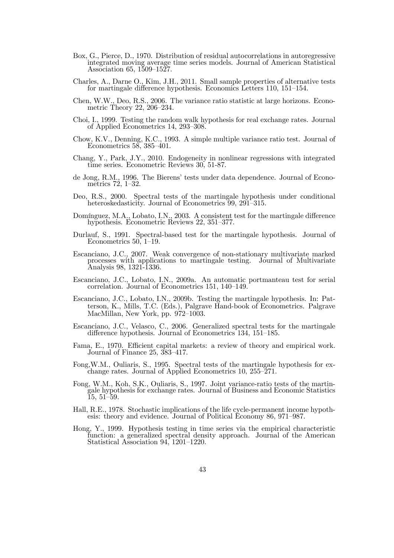- Box, G., Pierce, D., 1970. Distribution of residual autocorrelations in autoregressive integrated moving average time series models. Journal of American Statistical Association 65, 1509—1527.
- Charles, A., Darne O., Kim, J.H., 2011. Small sample properties of alternative tests for martingale difference hypothesis. Economics Letters 110, 151—154.
- Chen, W.W., Deo, R.S., 2006. The variance ratio statistic at large horizons. Econometric Theory 22, 206—234.
- Choi, I., 1999. Testing the random walk hypothesis for real exchange rates. Journal of Applied Econometrics 14, 293—308.
- Chow, K.V., Denning, K.C., 1993. A simple multiple variance ratio test. Journal of Econometrics 58, 385—401.
- Chang, Y., Park, J.Y., 2010. Endogeneity in nonlinear regressions with integrated time series. Econometric Reviews 30, 51-87.
- de Jong, R.M., 1996. The Bierens' tests under data dependence. Journal of Econometrics 72, 1—32.
- Deo, R.S., 2000. Spectral tests of the martingale hypothesis under conditional heteroskedasticity. Journal of Econometrics 99, 291-315.
- Domínguez, M.A., Lobato, I.N., 2003. A consistent test for the martingale difference hypothesis. Econometric Reviews 22, 351—377.
- Durlauf, S., 1991. Spectral-based test for the martingale hypothesis. Journal of Econometrics 50, 1—19.
- Escanciano, J.C., 2007. Weak convergence of non-stationary multivariate marked processes with applications to martingale testing. Journal of Multivariate Analysis 98, 1321-1336.
- Escanciano, J.C., Lobato, I.N., 2009a. An automatic portmanteau test for serial correlation. Journal of Econometrics 151, 140—149.
- Escanciano, J.C., Lobato, I.N., 2009b. Testing the martingale hypothesis. In: Patterson, K., Mills, T.C. (Eds.), Palgrave Hand-book of Econometrics. Palgrave MacMillan, New York, pp. 972—1003.
- Escanciano, J.C., Velasco, C., 2006. Generalized spectral tests for the martingale difference hypothesis. Journal of Econometrics 134, 151—185.
- Fama, E., 1970. Efficient capital markets: a review of theory and empirical work. Journal of Finance 25, 383—417.
- Fong,W.M., Ouliaris, S., 1995. Spectral tests of the martingale hypothesis for exchange rates. Journal of Applied Econometrics 10, 255—271.
- Fong, W.M., Koh, S.K., Ouliaris, S., 1997. Joint variance-ratio tests of the martingale hypothesis for exchange rates. Journal of Business and Economic Statistics 15, 51—59.
- Hall, R.E., 1978. Stochastic implications of the life cycle-permanent income hypothesis: theory and evidence. Journal of Political Economy 86, 971—987.
- Hong, Y., 1999. Hypothesis testing in time series via the empirical characteristic function: a generalized spectral density approach. Journal of the American Statistical Association 94, 1201—1220.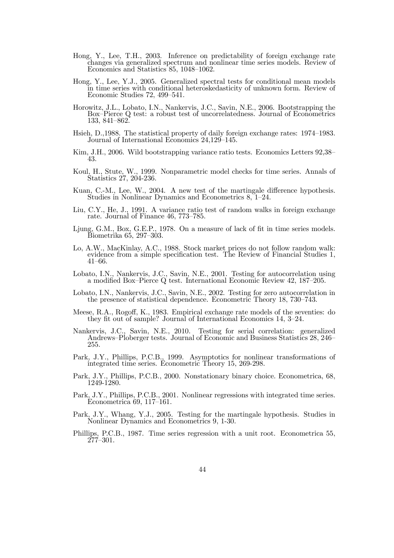- Hong, Y., Lee, T.H., 2003. Inference on predictability of foreign exchange rate changes via generalized spectrum and nonlinear time series models. Review of Economics and Statistics 85, 1048—1062.
- Hong, Y., Lee, Y.J., 2005. Generalized spectral tests for conditional mean models in time series with conditional heteroskedasticity of unknown form. Review of Economic Studies 72, 499—541.
- Horowitz, J.L., Lobato, I.N., Nankervis, J.C., Savin, N.E., 2006. Bootstrapping the Box—Pierce Q test: a robust test of uncorrelatedness. Journal of Econometrics 133, 841—862.
- Hsieh, D.,1988. The statistical property of daily foreign exchange rates: 1974—1983. Journal of International Economics 24,129—145.
- Kim, J.H., 2006. Wild bootstrapping variance ratio tests. Economics Letters  $92,38$  43.
- Koul, H., Stute, W., 1999. Nonparametric model checks for time series. Annals of Statistics 27, 204-236.
- Kuan, C.-M., Lee, W., 2004. A new test of the martingale difference hypothesis. Studies in Nonlinear Dynamics and Econometrics 8, 1—24.
- Liu, C.Y., He, J., 1991. A variance ratio test of random walks in foreign exchange rate. Journal of Finance 46, 773—785.
- Ljung, G.M., Box, G.E.P., 1978. On a measure of lack of fit in time series models. Biometrika 65, 297—303.
- Lo, A.W., MacKinlay, A.C., 1988. Stock market prices do not follow random walk: evidence from a simple specification test. The Review of Financial Studies 1, 41—66.
- Lobato, I.N., Nankervis, J.C., Savin, N.E., 2001. Testing for autocorrelation using a modified Box—Pierce Q test. International Economic Review 42, 187—205.
- Lobato, I.N., Nankervis, J.C., Savin, N.E., 2002. Testing for zero autocorrelation in the presence of statistical dependence. Econometric Theory 18, 730—743.
- Meese, R.A., Rogoff, K., 1983. Empirical exchange rate models of the seventies: do they fit out of sample? Journal of International Economics 14, 3—24.
- Nankervis, J.C., Savin, N.E., 2010. Testing for serial correlation: generalized Andrews—Ploberger tests. Journal of Economic and Business Statistics 28, 246— 255.
- Park, J.Y., Phillips, P.C.B., 1999. Asymptotics for nonlinear transformations of integrated time series. Econometric Theory 15, 269-298.
- Park, J.Y., Phillips, P.C.B., 2000. Nonstationary binary choice. Econometrica, 68, 1249-1280.
- Park, J.Y., Phillips, P.C.B., 2001. Nonlinear regressions with integrated time series. Econometrica 69, 117—161.
- Park, J.Y., Whang, Y.J., 2005. Testing for the martingale hypothesis. Studies in Nonlinear Dynamics and Econometrics 9, 1-30.
- Phillips, P.C.B., 1987. Time series regression with a unit root. Econometrica 55, 277—301.